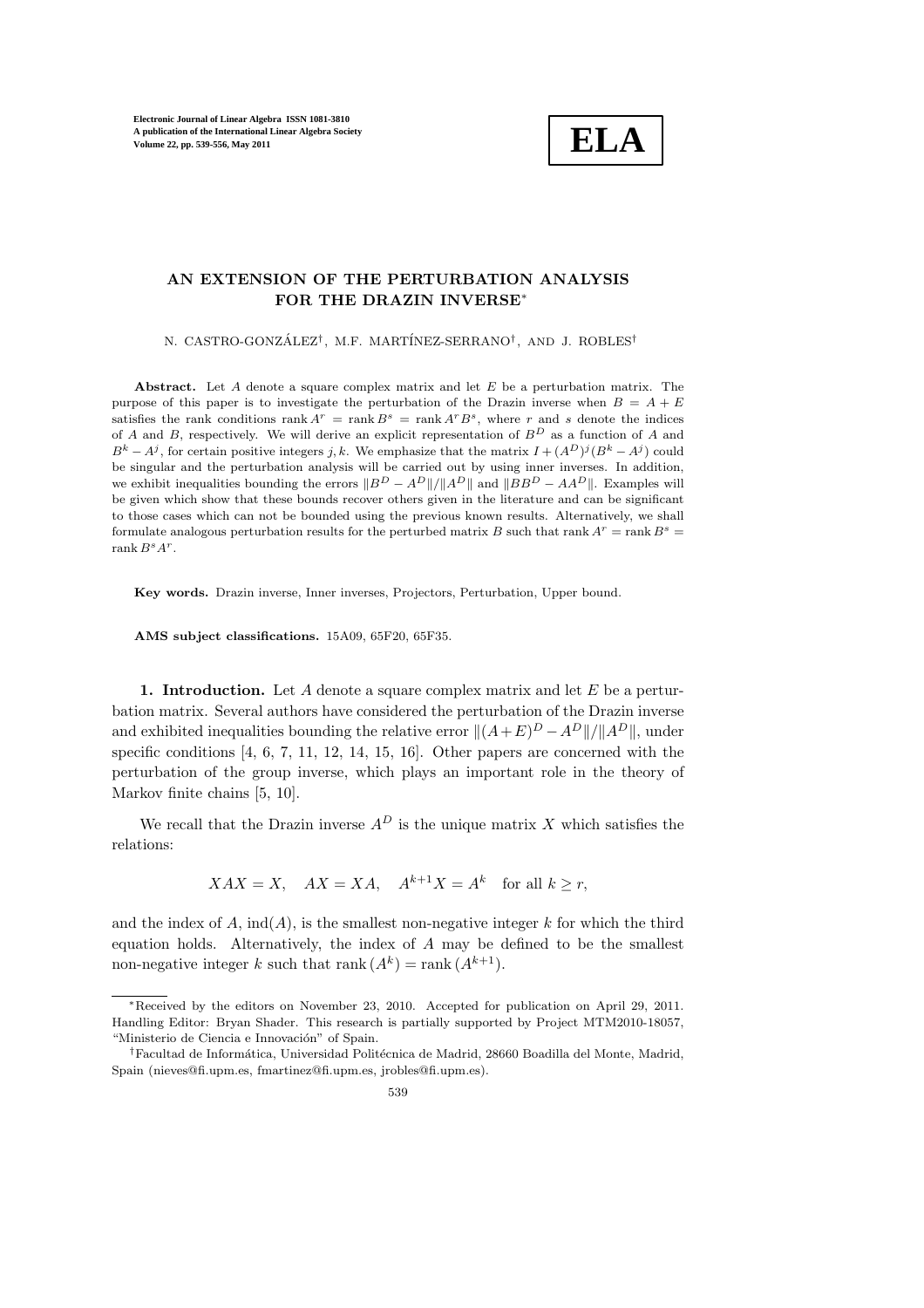

## AN EXTENSION OF THE PERTURBATION ANALYSIS FOR THE DRAZIN INVERSE<sup>∗</sup>

N. CASTRO-GONZÁLEZ<sup>†</sup>, M.F. MARTÍNEZ-SERRANO<sup>†</sup>, AND J. ROBLES<sup>†</sup>

Abstract. Let  $A$  denote a square complex matrix and let  $E$  be a perturbation matrix. The purpose of this paper is to investigate the perturbation of the Drazin inverse when  $B = A + E$ satisfies the rank conditions rank  $A^r = \text{rank } B^s = \text{rank } A^r B^s$ , where r and s denote the indices of A and B, respectively. We will derive an explicit representation of  $B<sup>D</sup>$  as a function of A and  $B^k - A^j$ , for certain positive integers j, k. We emphasize that the matrix  $I + (A^D)^j (B^k - A^j)$  could be singular and the perturbation analysis will be carried out by using inner inverses. In addition, we exhibit inequalities bounding the errors  $||B^D - A^D||/||A^D||$  and  $||\overline{B}B^D - AA^D||$ . Examples will be given which show that these bounds recover others given in the literature and can be significant to those cases which can not be bounded using the previous known results. Alternatively, we shall formulate analogous perturbation results for the perturbed matrix B such that rank  $A^r = \text{rank } B^s =$ rank  $B^sA^r$ .

Key words. Drazin inverse, Inner inverses, Projectors, Perturbation, Upper bound.

AMS subject classifications. 15A09, 65F20, 65F35.

1. Introduction. Let A denote a square complex matrix and let  $E$  be a perturbation matrix. Several authors have considered the perturbation of the Drazin inverse and exhibited inequalities bounding the relative error  $\|(A+E)^D - A^D\|/\|A^D\|$ , under specific conditions [4, 6, 7, 11, 12, 14, 15, 16]. Other papers are concerned with the perturbation of the group inverse, which plays an important role in the theory of Markov finite chains [5, 10].

We recall that the Drazin inverse  $A^D$  is the unique matrix X which satisfies the relations:

$$
XAX = X, \quad AX = XA, \quad A^{k+1}X = A^k \quad \text{for all } k \ge r,
$$

and the index of  $A$ , ind( $A$ ), is the smallest non-negative integer k for which the third equation holds. Alternatively, the index of A may be defined to be the smallest non-negative integer k such that rank  $(A^k) = \text{rank}(A^{k+1})$ .

<sup>∗</sup>Received by the editors on November 23, 2010. Accepted for publication on April 29, 2011. Handling Editor: Bryan Shader. This research is partially supported by Project MTM2010-18057, "Ministerio de Ciencia e Innovación" of Spain.

<sup>&</sup>lt;sup>†</sup>Facultad de Informática, Universidad Politécnica de Madrid, 28660 Boadilla del Monte, Madrid, Spain (nieves@fi.upm.es, fmartinez@fi.upm.es, jrobles@fi.upm.es).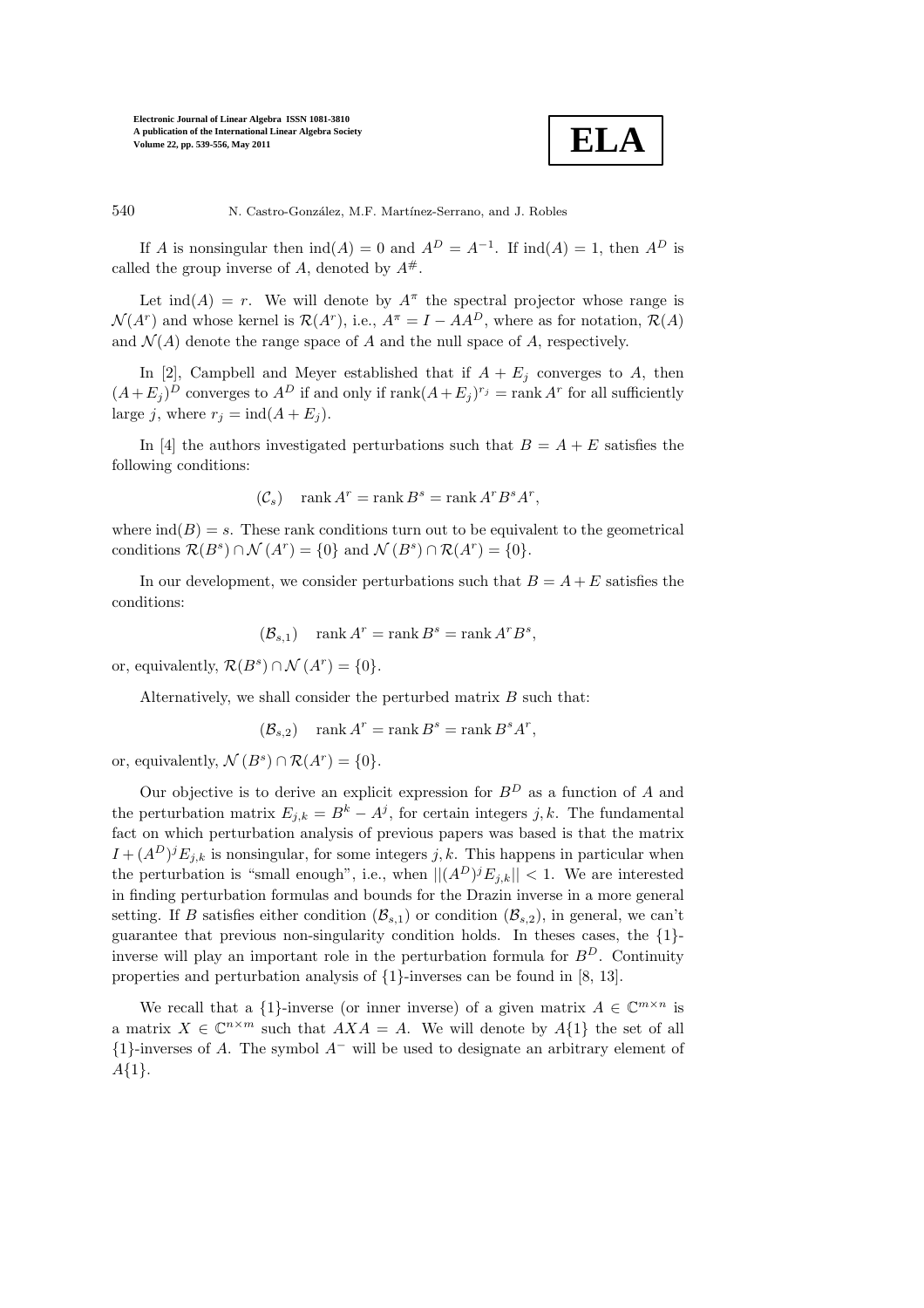$$
\boxed{\textbf{ELA}}
$$

540 N. Castro-González, M.F. Martínez-Serrano, and J. Robles

If A is nonsingular then  $\text{ind}(A) = 0$  and  $A^D = A^{-1}$ . If  $\text{ind}(A) = 1$ , then  $A^D$  is called the group inverse of A, denoted by  $A^{\#}$ .

Let  $\text{ind}(A) = r$ . We will denote by  $A^{\pi}$  the spectral projector whose range is  $\mathcal{N}(A^r)$  and whose kernel is  $\mathcal{R}(A^r)$ , i.e.,  $A^{\pi} = I - AA^D$ , where as for notation,  $\mathcal{R}(A)$ and  $\mathcal{N}(A)$  denote the range space of A and the null space of A, respectively.

In [2], Campbell and Meyer established that if  $A + E_i$  converges to A, then  $(A+E_j)^D$  converges to  $A^D$  if and only if  $\text{rank}(A+E_j)^{r_j} = \text{rank } A^r$  for all sufficiently large j, where  $r_j = \text{ind}(A + E_j)$ .

In [4] the authors investigated perturbations such that  $B = A + E$  satisfies the following conditions:

$$
(\mathcal{C}_s) \quad \text{rank } A^r = \text{rank } B^s = \text{rank } A^r B^s A^r,
$$

where  $\text{ind}(B) = s$ . These rank conditions turn out to be equivalent to the geometrical conditions  $\mathcal{R}(B^s) \cap \mathcal{N}(A^r) = \{0\}$  and  $\mathcal{N}(B^s) \cap \mathcal{R}(A^r) = \{0\}.$ 

In our development, we consider perturbations such that  $B = A + E$  satisfies the conditions:

$$
(\mathcal{B}_{s,1}) \quad \text{rank } A^r = \text{rank } B^s = \text{rank } A^r B^s,
$$

or, equivalently,  $\mathcal{R}(B^s) \cap \mathcal{N}(A^r) = \{0\}.$ 

Alternatively, we shall consider the perturbed matrix  $B$  such that:

$$
(\mathcal{B}_{s,2}) \quad \text{rank } A^r = \text{rank } B^s = \text{rank } B^s A^r,
$$

or, equivalently,  $\mathcal{N}(B^s) \cap \mathcal{R}(A^r) = \{0\}.$ 

Our objective is to derive an explicit expression for  $B^D$  as a function of A and the perturbation matrix  $E_{j,k} = B^k - A^j$ , for certain integers j, k. The fundamental fact on which perturbation analysis of previous papers was based is that the matrix  $I + (A^D)^j E_{j,k}$  is nonsingular, for some integers j, k. This happens in particular when the perturbation is "small enough", i.e., when  $||(A<sup>D</sup>)<sup>j</sup>E<sub>j,k</sub>|| < 1$ . We are interested in finding perturbation formulas and bounds for the Drazin inverse in a more general setting. If B satisfies either condition  $(\mathcal{B}_{s,1})$  or condition  $(\mathcal{B}_{s,2})$ , in general, we can't guarantee that previous non-singularity condition holds. In theses cases, the {1} inverse will play an important role in the perturbation formula for  $B<sup>D</sup>$ . Continuity properties and perturbation analysis of {1}-inverses can be found in [8, 13].

We recall that a  $\{1\}$ -inverse (or inner inverse) of a given matrix  $A \in \mathbb{C}^{m \times n}$  is a matrix  $X \in \mathbb{C}^{n \times m}$  such that  $AXA = A$ . We will denote by  $A\{1\}$  the set of all  ${1}$ -inverses of A. The symbol  $A^-$  will be used to designate an arbitrary element of  $A\{1\}.$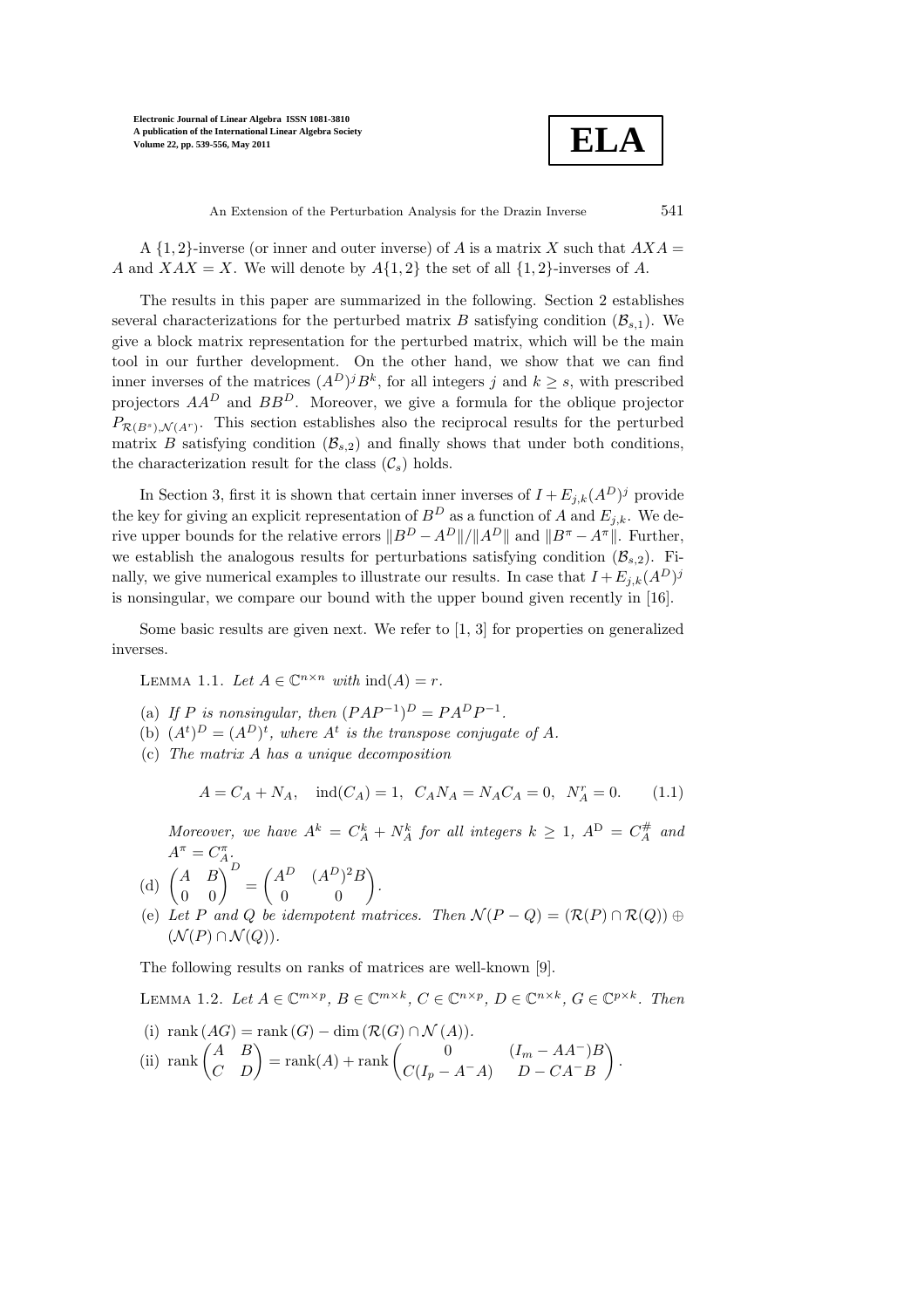**ELA**

An Extension of the Perturbation Analysis for the Drazin Inverse  $541$ 

A  $\{1,2\}$ -inverse (or inner and outer inverse) of A is a matrix X such that  $AXA =$ A and  $XAX = X$ . We will denote by  $A\{1,2\}$  the set of all  $\{1,2\}$ -inverses of A.

The results in this paper are summarized in the following. Section 2 establishes several characterizations for the perturbed matrix B satisfying condition  $(\mathcal{B}_{s,1})$ . We give a block matrix representation for the perturbed matrix, which will be the main tool in our further development. On the other hand, we show that we can find inner inverses of the matrices  $(A^D)^j B^k$ , for all integers j and  $k \geq s$ , with prescribed projectors  $AA^D$  and  $BB^D$ . Moreover, we give a formula for the oblique projector  $P_{\mathcal{R}(B^s),\mathcal{N}(A^r)}$ . This section establishes also the reciprocal results for the perturbed matrix B satisfying condition  $(\mathcal{B}_{s,2})$  and finally shows that under both conditions, the characterization result for the class  $(\mathcal{C}_s)$  holds.

In Section 3, first it is shown that certain inner inverses of  $I + E_{j,k}(A^D)^j$  provide the key for giving an explicit representation of  $B^D$  as a function of A and  $E_{i,k}$ . We derive upper bounds for the relative errors  $||B^D - A^D||/||A^D||$  and  $||B^T - A^T||$ . Further, we establish the analogous results for perturbations satisfying condition  $(\mathcal{B}_{s,2})$ . Finally, we give numerical examples to illustrate our results. In case that  $I + E_{j,k}(A^D)^j$ is nonsingular, we compare our bound with the upper bound given recently in [16].

Some basic results are given next. We refer to [1, 3] for properties on generalized inverses.

LEMMA 1.1. Let  $A \in \mathbb{C}^{n \times n}$  with  $\text{ind}(A) = r$ .

- (a) If P is nonsingular, then  $(PAP^{-1})^D = P A^D P^{-1}$ .
- (b)  $(A^t)^D = (A^D)^t$ , where  $A^t$  is the transpose conjugate of A.
- (c) The matrix A has a unique decomposition

$$
A = C_A + N_A
$$
,  $ind(C_A) = 1$ ,  $C_A N_A = N_A C_A = 0$ ,  $N_A^r = 0$ . (1.1)

Moreover, we have  $A^k = C_A^k + N_A^k$  for all integers  $k \geq 1$ ,  $A^D = C_A^{\#}$  and  $A^{\pi} = C_A^{\pi}$ .

- (d)  $\begin{pmatrix} A & B \\ 0 & 0 \end{pmatrix}^D =$  $\begin{pmatrix} A^D & (A^D)^2 B \\ 0 & 0 \end{pmatrix}$ .
- (e) Let P and Q be idempotent matrices. Then  $\mathcal{N}(P-Q) = (\mathcal{R}(P) \cap \mathcal{R}(Q)) \oplus$  $(\mathcal{N}(P) \cap \mathcal{N}(Q)).$

The following results on ranks of matrices are well-known [9].

LEMMA 1.2. Let  $A \in \mathbb{C}^{m \times p}$ ,  $B \in \mathbb{C}^{m \times k}$ ,  $C \in \mathbb{C}^{n \times p}$ ,  $D \in \mathbb{C}^{n \times k}$ ,  $G \in \mathbb{C}^{p \times k}$ . Then

(i) rank 
$$
(AG)
$$
 = rank  $(G)$  – dim  $(\mathcal{R}(G) \cap \mathcal{N}(A))$ .  
\n(ii) rank  $\begin{pmatrix} A & B \\ C & D \end{pmatrix}$  = rank $(A)$  + rank  $\begin{pmatrix} 0 & (I_m - AA^-)B \\ C(I_p - A^-A) & D - CA^-B \end{pmatrix}$ .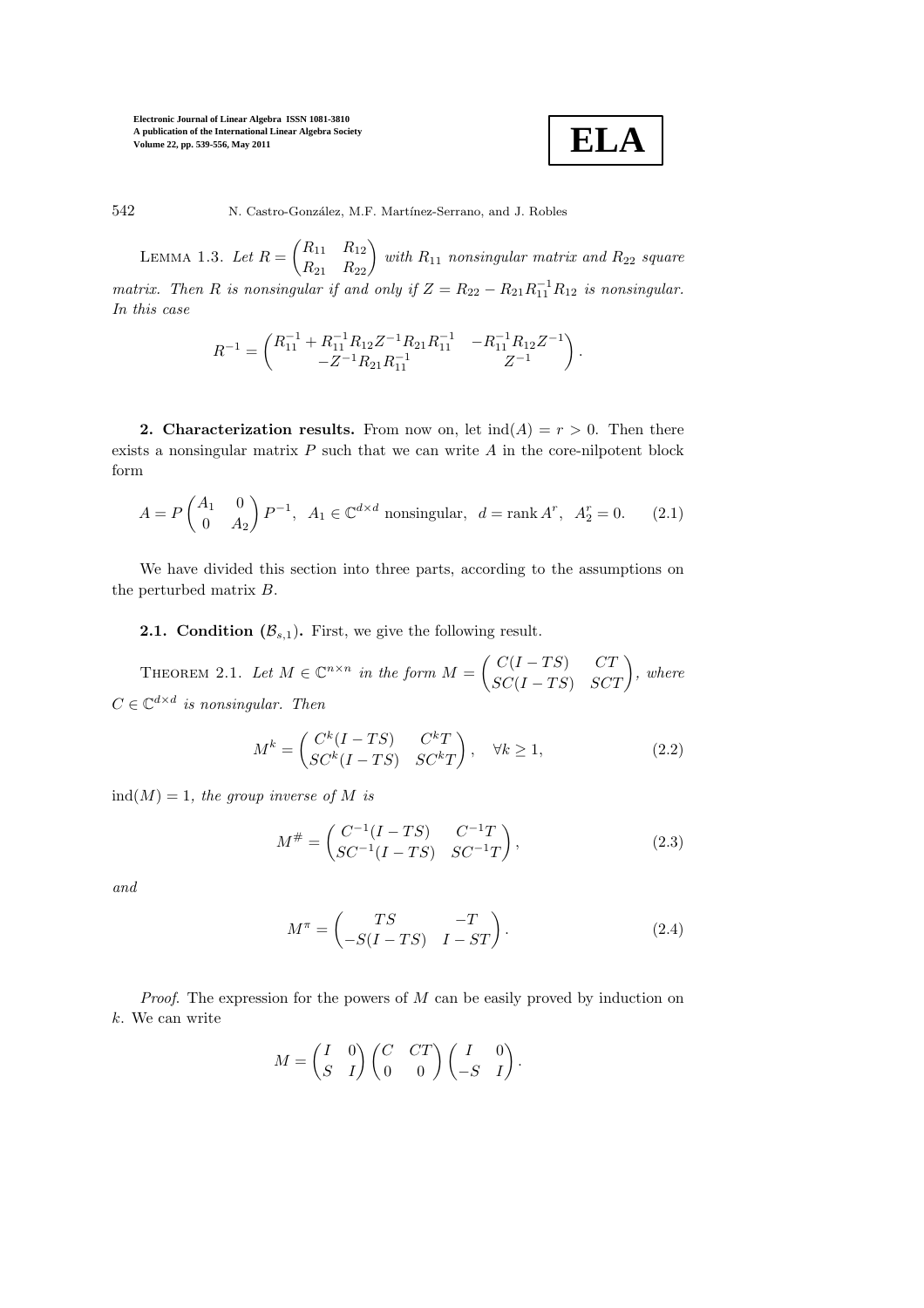$$
\boxed{\textbf{ELA}}
$$

542 N. Castro-González, M.F. Martínez-Serrano, and J. Robles

LEMMA 1.3. Let  $R = \begin{pmatrix} R_{11} & R_{12} \ R_{21} & R_{22} \end{pmatrix}$  with  $R_{11}$  nonsingular matrix and  $R_{22}$  square matrix. Then R is nonsingular if and only if  $Z = R_{22} - R_{21}R_{11}^{-1}R_{12}$  is nonsingular. In this case

$$
R^{-1} = \begin{pmatrix} R_{11}^{-1} + R_{11}^{-1} R_{12} Z^{-1} R_{21} R_{11}^{-1} & -R_{11}^{-1} R_{12} Z^{-1} \\ -Z^{-1} R_{21} R_{11}^{-1} & Z^{-1} \end{pmatrix}.
$$

2. Characterization results. From now on, let  $\text{ind}(A) = r > 0$ . Then there exists a nonsingular matrix  $P$  such that we can write  $A$  in the core-nilpotent block form

$$
A = P \begin{pmatrix} A_1 & 0 \\ 0 & A_2 \end{pmatrix} P^{-1}, A_1 \in \mathbb{C}^{d \times d} \text{ nonsingular}, d = \text{rank } A^r, A_2^r = 0. \quad (2.1)
$$

We have divided this section into three parts, according to the assumptions on the perturbed matrix B.

**2.1. Condition**  $(\mathcal{B}_{s,1})$ . First, we give the following result.

THEOREM 2.1. Let  $M \in \mathbb{C}^{n \times n}$  in the form  $M = \begin{pmatrix} C(I - TS) & CT \\ SC(I - TS) & SCT \end{pmatrix}$ , where  $C \in \mathbb{C}^{d \times d}$  is nonsingular. Then

$$
M^{k} = \begin{pmatrix} C^{k}(I - TS) & C^{k}T \\ SC^{k}(I - TS) & SC^{k}T \end{pmatrix}, \quad \forall k \ge 1,
$$
\n(2.2)

 $ind(M) = 1$ , the group inverse of M is

$$
M^{\#} = \begin{pmatrix} C^{-1}(I - TS) & C^{-1}T \\ SC^{-1}(I - TS) & SC^{-1}T \end{pmatrix},
$$
\n(2.3)

and

$$
M^{\pi} = \begin{pmatrix} TS & -T \\ -S(I - TS) & I - ST \end{pmatrix}.
$$
 (2.4)

*Proof.* The expression for the powers of  $M$  can be easily proved by induction on k. We can write

$$
M = \begin{pmatrix} I & 0 \\ S & I \end{pmatrix} \begin{pmatrix} C & CT \\ 0 & 0 \end{pmatrix} \begin{pmatrix} I & 0 \\ -S & I \end{pmatrix}.
$$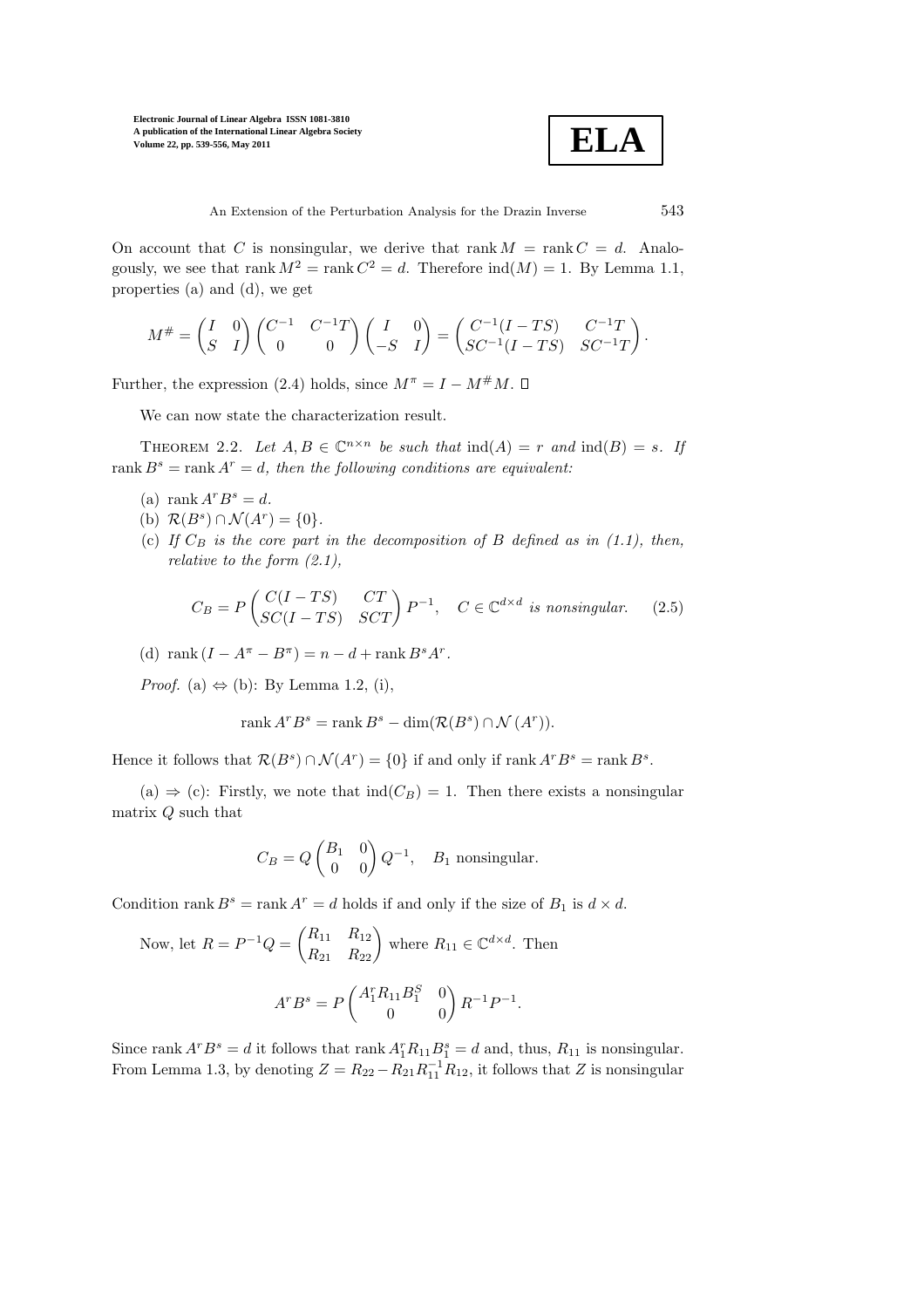

On account that C is nonsingular, we derive that rank  $M = \text{rank } C = d$ . Analogously, we see that rank  $M^2 = \text{rank } C^2 = d$ . Therefore  $\text{ind}(M) = 1$ . By Lemma 1.1, properties (a) and (d), we get

$$
M^{\#} = \begin{pmatrix} I & 0 \\ S & I \end{pmatrix} \begin{pmatrix} C^{-1} & C^{-1}T \\ 0 & 0 \end{pmatrix} \begin{pmatrix} I & 0 \\ -S & I \end{pmatrix} = \begin{pmatrix} C^{-1}(I - TS) & C^{-1}T \\ SC^{-1}(I - TS) & SC^{-1}T \end{pmatrix}.
$$

Further, the expression (2.4) holds, since  $M^{\pi} = I - M^{\#}M$ .

We can now state the characterization result.

THEOREM 2.2. Let  $A, B \in \mathbb{C}^{n \times n}$  be such that  $\text{ind}(A) = r$  and  $\text{ind}(B) = s$ . If rank  $B^s = \text{rank } A^r = d$ , then the following conditions are equivalent:

- (a) rank  $A^rB^s = d$ .
- (b)  $\mathcal{R}(B^s) \cap \mathcal{N}(A^r) = \{0\}.$
- (c) If  $C_B$  is the core part in the decomposition of B defined as in (1.1), then, relative to the form  $(2.1)$ ,

$$
C_B = P \begin{pmatrix} C(I - TS) & CT \\ SC(I - TS) & SCT \end{pmatrix} P^{-1}, \quad C \in \mathbb{C}^{d \times d} \text{ is nonsingular.} \tag{2.5}
$$

(d) rank  $(I - A^{\pi} - B^{\pi}) = n - d + \text{rank } B^s A^r$ .

*Proof.* (a)  $\Leftrightarrow$  (b): By Lemma 1.2, (i),

rank  $A^r B^s = \text{rank } B^s - \dim(\mathcal{R}(B^s) \cap \mathcal{N}(A^r)).$ 

Hence it follows that  $\mathcal{R}(B^s) \cap \mathcal{N}(A^r) = \{0\}$  if and only if rank  $A^r B^s = \text{rank } B^s$ .

(a)  $\Rightarrow$  (c): Firstly, we note that  $\text{ind}(C_B) = 1$ . Then there exists a nonsingular matrix Q such that

$$
C_B = Q \begin{pmatrix} B_1 & 0 \\ 0 & 0 \end{pmatrix} Q^{-1}, \quad B_1 \text{ nonsingular}.
$$

Condition rank  $B^s = \text{rank } A^r = d$  holds if and only if the size of  $B_1$  is  $d \times d$ .

Now, let 
$$
R = P^{-1}Q = \begin{pmatrix} R_{11} & R_{12} \\ R_{21} & R_{22} \end{pmatrix}
$$
 where  $R_{11} \in \mathbb{C}^{d \times d}$ . Then  
\n
$$
A^r B^s = P \begin{pmatrix} A_1^r R_{11} B_1^S & 0 \\ 0 & 0 \end{pmatrix} R^{-1} P^{-1}.
$$

Since rank  $A^r B^s = d$  it follows that rank  $A_1^r R_{11} B_1^s = d$  and, thus,  $R_{11}$  is nonsingular. From Lemma 1.3, by denoting  $Z = R_{22} - R_{21}R_{11}^{-1}R_{12}$ , it follows that Z is nonsingular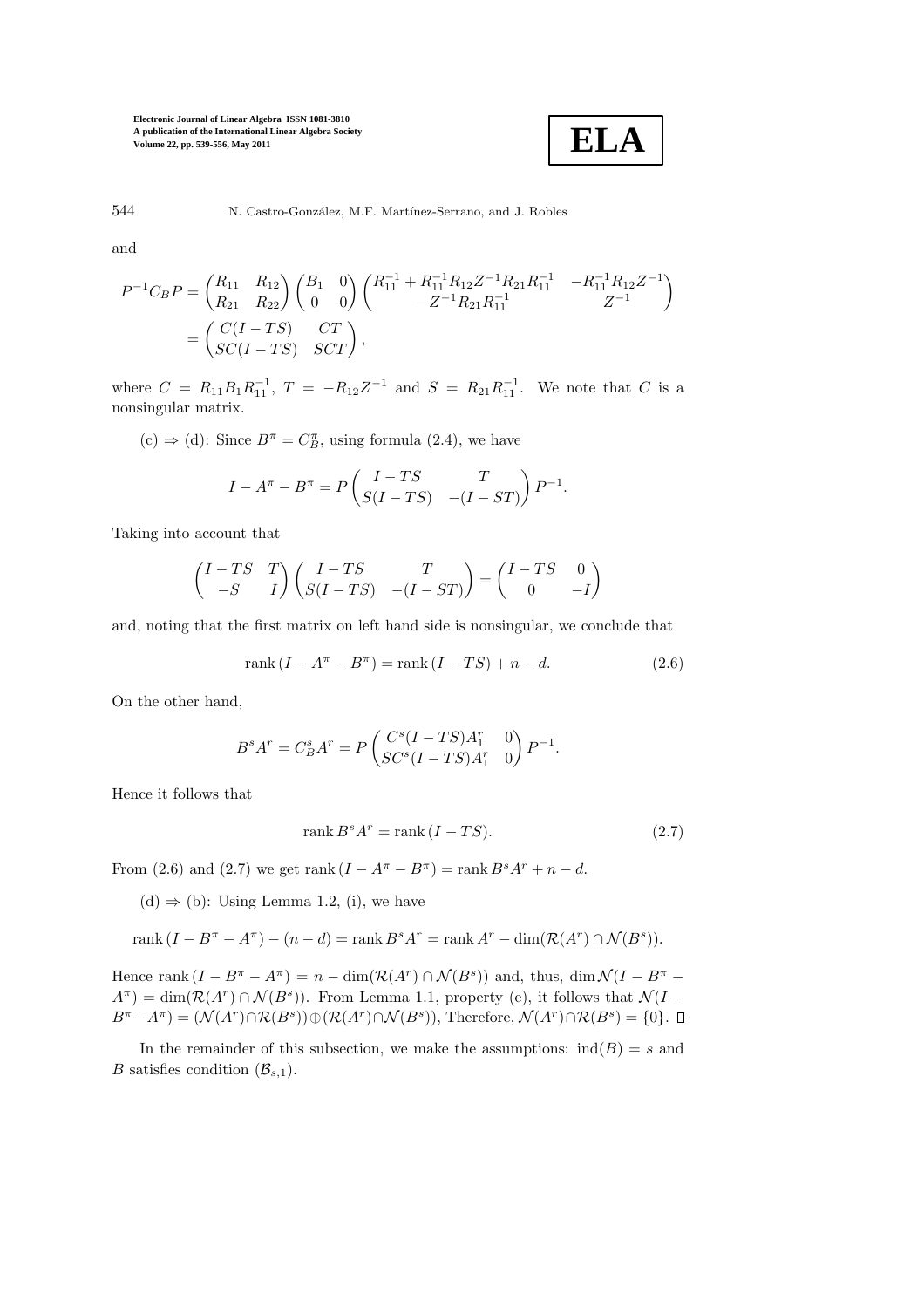

544 N. Castro-González, M.F. Martínez-Serrano, and J. Robles

and

$$
P^{-1}C_B P = \begin{pmatrix} R_{11} & R_{12} \\ R_{21} & R_{22} \end{pmatrix} \begin{pmatrix} B_1 & 0 \\ 0 & 0 \end{pmatrix} \begin{pmatrix} R_{11}^{-1} + R_{11}^{-1} R_{12} Z^{-1} R_{21} R_{11}^{-1} & -R_{11}^{-1} R_{12} Z^{-1} \\ -Z^{-1} R_{21} R_{11}^{-1} & Z^{-1} \end{pmatrix}
$$
  
= 
$$
\begin{pmatrix} C(I - TS) & CT \\ SC(I - TS) & SCT \end{pmatrix},
$$

where  $C = R_{11}B_1R_{11}^{-1}$ ,  $T = -R_{12}Z^{-1}$  and  $S = R_{21}R_{11}^{-1}$ . We note that C is a nonsingular matrix.

(c)  $\Rightarrow$  (d): Since  $B^{\pi} = C^{\pi}_{B}$ , using formula (2.4), we have

$$
I - A^{\pi} - B^{\pi} = P \begin{pmatrix} I - TS & T \\ S(I - TS) & -(I - ST) \end{pmatrix} P^{-1}.
$$

Taking into account that

$$
\begin{pmatrix} I - TS & T \\ -S & I \end{pmatrix} \begin{pmatrix} I - TS & T \\ S(I - TS) & -(I - ST) \end{pmatrix} = \begin{pmatrix} I - TS & 0 \\ 0 & -I \end{pmatrix}
$$

and, noting that the first matrix on left hand side is nonsingular, we conclude that

$$
rank (I - A^{\pi} - B^{\pi}) = rank (I - TS) + n - d.
$$
 (2.6)

On the other hand,

$$
B^{s}A^{r} = C_{B}^{s}A^{r} = P \begin{pmatrix} C^{s}(I - TS)A_{1}^{r} & 0 \ S C^{s}(I - TS)A_{1}^{r} & 0 \end{pmatrix} P^{-1}.
$$

Hence it follows that

$$
rank Bs Ar = rank (I - TS).
$$
 (2.7)

From (2.6) and (2.7) we get rank  $(I - A^{\pi} - B^{\pi}) = \text{rank } B^{s} A^{r} + n - d$ .

(d)  $\Rightarrow$  (b): Using Lemma 1.2, (i), we have

$$
rank (I - B\pi - A\pi) - (n - d) = rank Bs Ar = rank Ar - dim(R(Ar) \cap N(Bs)).
$$

Hence rank  $(I - B^{\pi} - A^{\pi}) = n - \dim(\mathcal{R}(A^r) \cap \mathcal{N}(B^s))$  and, thus,  $\dim \mathcal{N}(I - B^{\pi} - A^{\pi})$  $A^{\pi}$ ) = dim( $\mathcal{R}(A^r) \cap \mathcal{N}(B^s)$ ). From Lemma 1.1, property (e), it follows that  $\mathcal{N}(I B^{\pi}-A^{\pi}$ ) =  $(\mathcal{N}(A^r) \cap \mathcal{R}(B^s)) \oplus (\mathcal{R}(A^r) \cap \mathcal{N}(B^s))$ , Therefore,  $\mathcal{N}(A^r) \cap \mathcal{R}(B^s) = \{0\}$ .

In the remainder of this subsection, we make the assumptions:  $\text{ind}(B) = s$  and *B* satisfies condition  $(\mathcal{B}_{s,1})$ .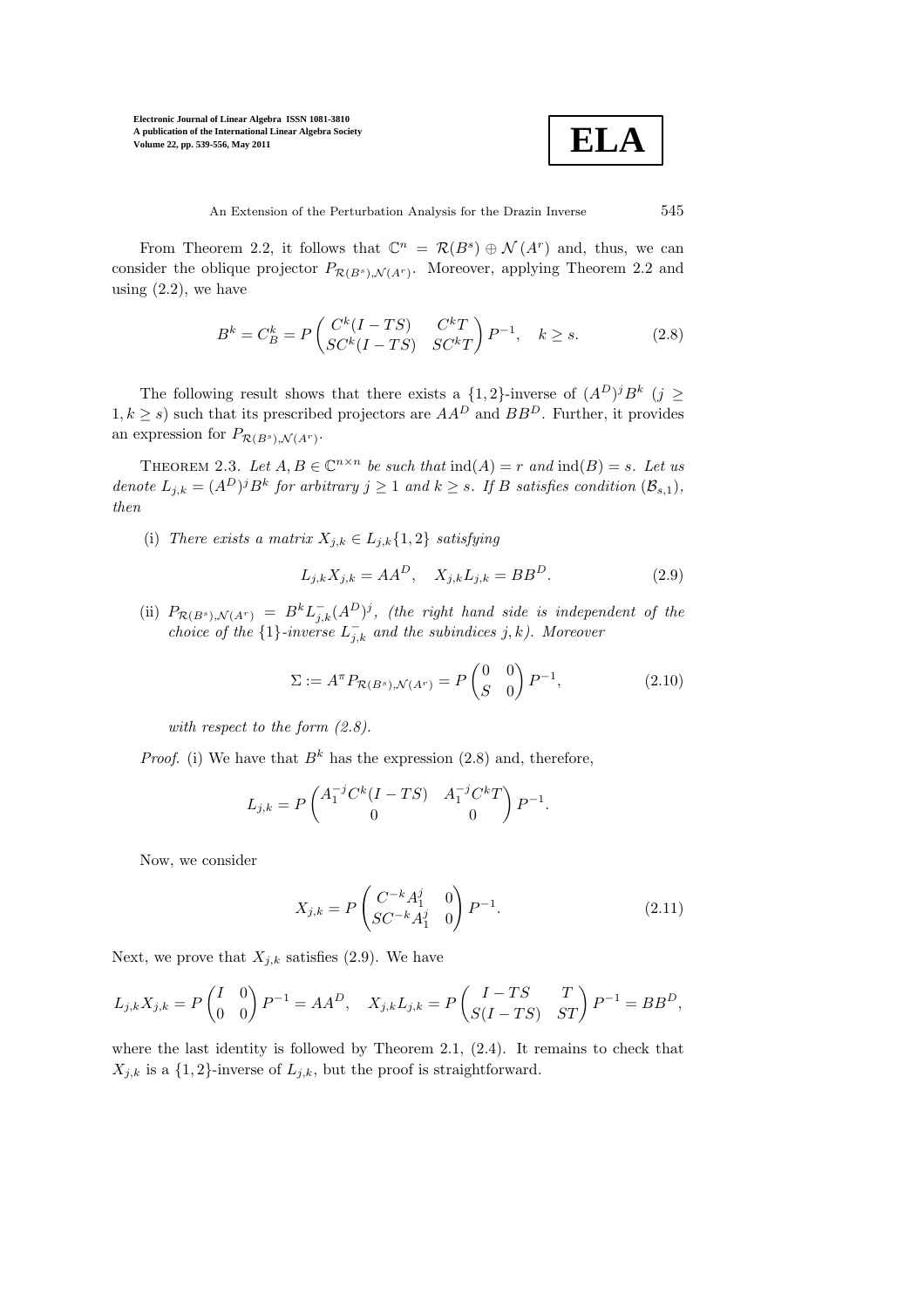

From Theorem 2.2, it follows that  $\mathbb{C}^n = \mathcal{R}(B^s) \oplus \mathcal{N}(A^r)$  and, thus, we can consider the oblique projector  $P_{\mathcal{R}(B^s),\mathcal{N}(A^r)}$ . Moreover, applying Theorem 2.2 and using  $(2.2)$ , we have

$$
B^k = C_B^k = P \begin{pmatrix} C^k(I - TS) & C^kT \\ SC^k(I - TS) & SC^kT \end{pmatrix} P^{-1}, \quad k \ge s.
$$
 (2.8)

The following result shows that there exists a  $\{1,2\}$ -inverse of  $(A^D)^j B^k$  ( $j \geq$  $1, k \geq s$ ) such that its prescribed projectors are  $AA^D$  and  $BB^D$ . Further, it provides an expression for  $P_{\mathcal{R}(B^s), \mathcal{N}(A^r)}$ .

THEOREM 2.3. Let  $A, B \in \mathbb{C}^{n \times n}$  be such that  $\text{ind}(A) = r$  and  $\text{ind}(B) = s$ . Let us denote  $L_{j,k} = (A^D)^j B^k$  for arbitrary  $j \ge 1$  and  $k \ge s$ . If B satisfies condition  $(\mathcal{B}_{s,1}),$ then

(i) There exists a matrix  $X_{j,k} \in L_{j,k}\{1,2\}$  satisfying

$$
L_{j,k}X_{j,k} = AA^D, \quad X_{j,k}L_{j,k} = BB^D.
$$
\n(2.9)

(ii)  $P_{\mathcal{R}(B^s), \mathcal{N}(A^r)} = B^k L_{j,k}^-(A^D)^j$ , (the right hand side is independent of the choice of the  $\{1\}$ -inverse  $L_{j,k}^-$  and the subindices j, k). Moreover

$$
\Sigma := A^{\pi} P_{\mathcal{R}(B^s), \mathcal{N}(A^r)} = P \begin{pmatrix} 0 & 0 \\ S & 0 \end{pmatrix} P^{-1},
$$
\n(2.10)

with respect to the form  $(2.8)$ .

*Proof.* (i) We have that  $B^k$  has the expression (2.8) and, therefore,

$$
L_{j,k} = P \begin{pmatrix} A_1^{-j} C^k (I - TS) & A_1^{-j} C^k T \\ 0 & 0 \end{pmatrix} P^{-1}.
$$

Now, we consider

$$
X_{j,k} = P\begin{pmatrix} C^{-k}A_1^j & 0\\ SC^{-k}A_1^j & 0 \end{pmatrix} P^{-1}.
$$
 (2.11)

Next, we prove that  $X_{j,k}$  satisfies (2.9). We have

$$
L_{j,k}X_{j,k} = P\begin{pmatrix} I & 0 \\ 0 & 0 \end{pmatrix} P^{-1} = AA^D, \quad X_{j,k}L_{j,k} = P\begin{pmatrix} I - TS & T \\ S(I - TS) & ST \end{pmatrix} P^{-1} = BB^D,
$$

where the last identity is followed by Theorem 2.1, (2.4). It remains to check that  $X_{j,k}$  is a  $\{1,2\}$ -inverse of  $L_{j,k}$ , but the proof is straightforward.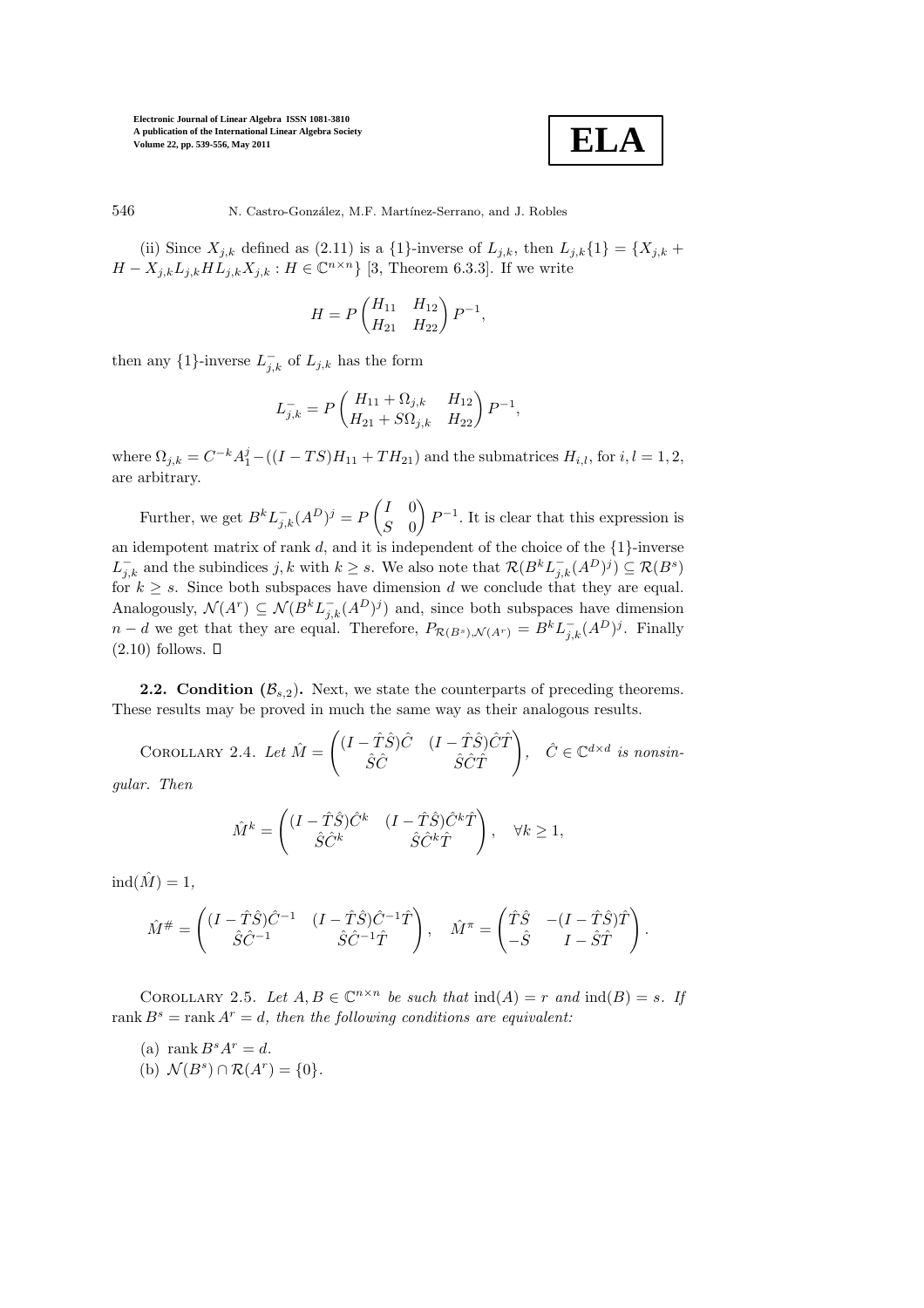$$
\boxed{\textbf{ELA}}
$$

546 N. Castro-González, M.F. Martínez-Serrano, and J. Robles

(ii) Since  $X_{j,k}$  defined as (2.11) is a {1}-inverse of  $L_{j,k}$ , then  $L_{j,k}$ {1} = { $X_{j,k}$  +  $H - X_{j,k} L_{j,k} H L_{j,k} X_{j,k} : H \in \mathbb{C}^{n \times n}$  [3, Theorem 6.3.3]. If we write

$$
H = P \begin{pmatrix} H_{11} & H_{12} \\ H_{21} & H_{22} \end{pmatrix} P^{-1},
$$

then any  $\{1\}$ -inverse  $L_{j,k}^-$  of  $L_{j,k}$  has the form

$$
L_{j,k}^- = P\begin{pmatrix} H_{11} + \Omega_{j,k} & H_{12} \\ H_{21} + S\Omega_{j,k} & H_{22} \end{pmatrix} P^{-1},
$$

where  $\Omega_{j,k} = C^{-k} A_1^j - ((I - TS)H_{11} + TH_{21})$  and the submatrices  $H_{i,l}$ , for  $i, l = 1, 2$ , are arbitrary.

Further, we get  $B^k L_{j,k}^-(A^D)^j = P\begin{pmatrix} I & 0 \\ S & 0 \end{pmatrix}$  $S$  0  $\setminus$  $P^{-1}$ . It is clear that this expression is an idempotent matrix of rank  $d$ , and it is independent of the choice of the  $\{1\}$ -inverse  $L_{j,k}^-$  and the subindices j, k with  $k \geq s$ . We also note that  $\mathcal{R}(B^k L_{j,k}^-(A^D)^j) \subseteq \mathcal{R}(B^s)$ for  $k \geq s$ . Since both subspaces have dimension d we conclude that they are equal. Analogously,  $\mathcal{N}(A^r) \subseteq \mathcal{N}(B^k L_{j,k}^-(A^D)^j)$  and, since both subspaces have dimension  $n-d$  we get that they are equal. Therefore,  $P_{\mathcal{R}(B^s),\mathcal{N}(A^r)} = B^k L_{j,k}^-(A^D)^j$ . Finally  $(2.10)$  follows.  $\square$ 

**2.2.** Condition  $(\mathcal{B}_{s,2})$ . Next, we state the counterparts of preceding theorems. These results may be proved in much the same way as their analogous results.

COROLLARY 2.4. Let  $\hat{M} =$  $\int (I - \hat{T}\hat{S}) \hat{C} \quad (I - \hat{T}\hat{S}) \hat{C}\hat{T}$  $\hat{S}\hat{C}$   $\hat{S}\hat{C}\hat{T}$ ! ,  $\hat{C} \in \mathbb{C}^{d \times d}$  is nonsingular. Then

$$
\hat{M}^k = \begin{pmatrix} (I - \hat{T}\hat{S})\hat{C}^k & (I - \hat{T}\hat{S})\hat{C}^k\hat{T} \\ \hat{S}\hat{C}^k & \hat{S}\hat{C}^k\hat{T} \end{pmatrix}, \quad \forall k \ge 1,
$$

 $ind(\hat{M}) = 1,$ 

$$
\hat{M}^{\#} = \begin{pmatrix} (I - \hat{T}\hat{S})\hat{C}^{-1} & (I - \hat{T}\hat{S})\hat{C}^{-1}\hat{T} \\ \hat{S}\hat{C}^{-1} & \hat{S}\hat{C}^{-1}\hat{T} \end{pmatrix}, \quad \hat{M}^{\pi} = \begin{pmatrix} \hat{T}\hat{S} & -(I - \hat{T}\hat{S})\hat{T} \\ -\hat{S} & I - \hat{S}\hat{T} \end{pmatrix}.
$$

COROLLARY 2.5. Let  $A, B \in \mathbb{C}^{n \times n}$  be such that  $\text{ind}(A) = r$  and  $\text{ind}(B) = s$ . If rank  $B^s = \text{rank } A^r = d$ , then the following conditions are equivalent:

- (a) rank  $B^sA^r = d$ .
- (b)  $\mathcal{N}(B^s) \cap \mathcal{R}(A^r) = \{0\}.$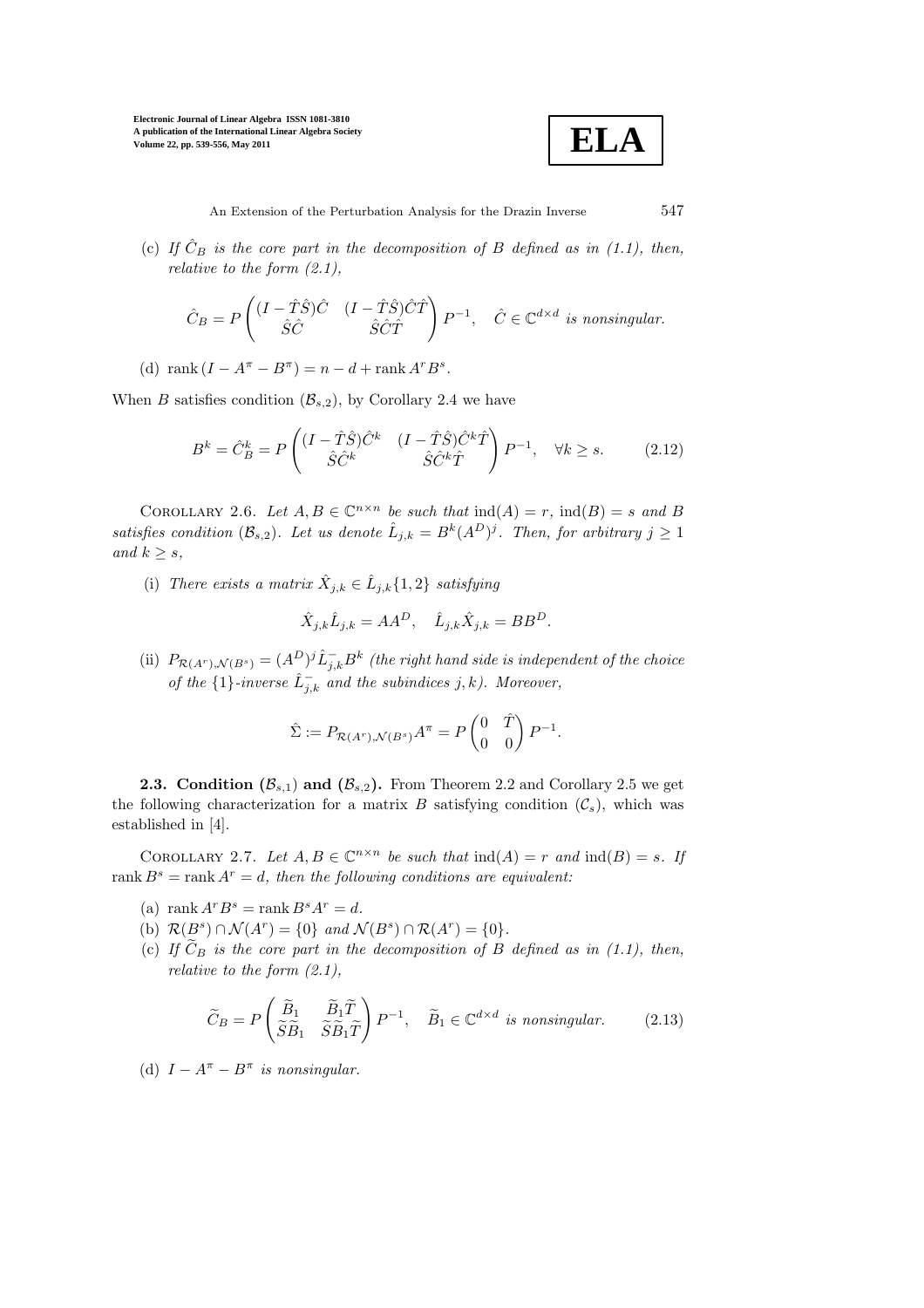

(c) If  $\hat{C}_B$  is the core part in the decomposition of B defined as in (1.1), then, relative to the form  $(2.1)$ ,

$$
\hat{C}_B = P\left(\begin{matrix} (I - \hat{T}\hat{S})\hat{C} & (I - \hat{T}\hat{S})\hat{C}\hat{T} \\ \hat{S}\hat{C} & \hat{S}\hat{C}\hat{T} \end{matrix}\right)P^{-1}, \quad \hat{C} \in \mathbb{C}^{d \times d} \text{ is nonsingular.}
$$

(d) rank  $(I - A^{\pi} - B^{\pi}) = n - d + \text{rank } A^r B^s$ .

When B satisfies condition  $(\mathcal{B}_{s,2})$ , by Corollary 2.4 we have

$$
B^k = \hat{C}_B^k = P \begin{pmatrix} (I - \hat{T}\hat{S})\hat{C}^k & (I - \hat{T}\hat{S})\hat{C}^k\hat{T} \\ \hat{S}\hat{C}^k & \hat{S}\hat{C}^k\hat{T} \end{pmatrix} P^{-1}, \quad \forall k \ge s.
$$
 (2.12)

COROLLARY 2.6. Let  $A, B \in \mathbb{C}^{n \times n}$  be such that  $\text{ind}(A) = r$ ,  $\text{ind}(B) = s$  and B satisfies condition  $(\mathcal{B}_{s,2})$ . Let us denote  $\hat{L}_{j,k} = B^k (A^D)^j$ . Then, for arbitrary  $j \geq 1$ and  $k \geq s$ ,

(i) There exists a matrix  $\hat{X}_{j,k} \in \hat{L}_{j,k} \{1,2\}$  satisfying

$$
\hat{X}_{j,k}\hat{L}_{j,k} = AA^D, \quad \hat{L}_{j,k}\hat{X}_{j,k} = BB^D.
$$

(ii)  $P_{\mathcal{R}(A^r), \mathcal{N}(B^s)} = (A^D)^j \hat{L}_{j,k}^- B^k$  (the right hand side is independent of the choice of the  $\{1\}$ -inverse  $\hat{L}_{j,k}^-$  and the subindices j, k). Moreover,

$$
\hat{\Sigma} := P_{\mathcal{R}(A^r), \mathcal{N}(B^s)} A^{\pi} = P \begin{pmatrix} 0 & \hat{T} \\ 0 & 0 \end{pmatrix} P^{-1}.
$$

**2.3. Condition**  $(\mathcal{B}_{s,1})$  and  $(\mathcal{B}_{s,2})$ . From Theorem 2.2 and Corollary 2.5 we get the following characterization for a matrix B satisfying condition  $(\mathcal{C}_s)$ , which was established in [4].

COROLLARY 2.7. Let  $A, B \in \mathbb{C}^{n \times n}$  be such that  $\text{ind}(A) = r$  and  $\text{ind}(B) = s$ . If rank  $B^s = \text{rank } A^r = d$ , then the following conditions are equivalent:

- (a) rank  $A^r B^s = \text{rank } B^s A^r = d$ .
- (b)  $\mathcal{R}(B^s) \cap \mathcal{N}(A^r) = \{0\}$  and  $\mathcal{N}(B^s) \cap \mathcal{R}(A^r) = \{0\}.$
- (c) If  $\tilde{C}_B$  is the core part in the decomposition of B defined as in (1.1), then, relative to the form  $(2.1)$ ,

$$
\widetilde{C}_B = P\left(\begin{matrix}\widetilde{B}_1 & \widetilde{B}_1 \widetilde{T} \\ \widetilde{S} \widetilde{B}_1 & \widetilde{S} \widetilde{B}_1 \widetilde{T}\end{matrix}\right) P^{-1}, \quad \widetilde{B}_1 \in \mathbb{C}^{d \times d} \text{ is nonsingular.}
$$
 (2.13)

(d)  $I - A^{\pi} - B^{\pi}$  is nonsingular.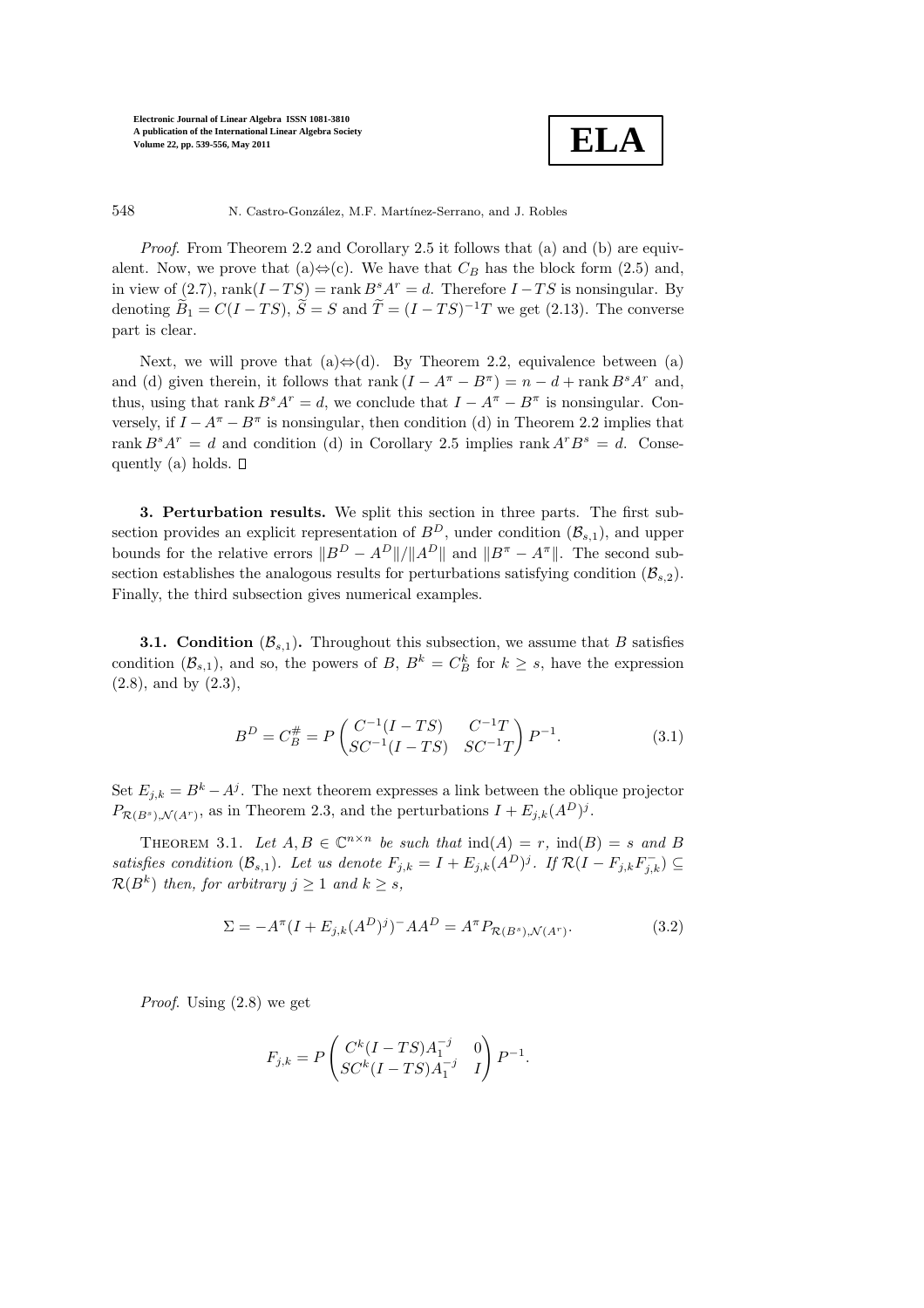

548 N. Castro-González, M.F. Martínez-Serrano, and J. Robles

Proof. From Theorem 2.2 and Corollary 2.5 it follows that (a) and (b) are equivalent. Now, we prove that (a)⇔(c). We have that  $C_B$  has the block form (2.5) and, in view of (2.7), rank $(I - TS) =$  rank  $B^sA^r = d$ . Therefore  $I - TS$  is nonsingular. By denoting  $\widetilde{B}_1 = C(I - TS), \widetilde{S} = S$  and  $\widetilde{T} = (I - TS)^{-1}T$  we get (2.13). The converse part is clear.

Next, we will prove that (a) $\Leftrightarrow$ (d). By Theorem 2.2, equivalence between (a) and (d) given therein, it follows that rank  $(I - A^{\pi} - B^{\pi}) = n - d + \text{rank } B^s A^r$  and, thus, using that rank  $B^sA^r = d$ , we conclude that  $I - A^{\pi} - B^{\pi}$  is nonsingular. Conversely, if  $I - A^{\pi} - B^{\pi}$  is nonsingular, then condition (d) in Theorem 2.2 implies that rank  $B^sA^r = d$  and condition (d) in Corollary 2.5 implies rank  $A^rB^s = d$ . Consequently (a) holds.  $\Box$ 

3. Perturbation results. We split this section in three parts. The first subsection provides an explicit representation of  $B^D$ , under condition  $(\mathcal{B}_{s,1})$ , and upper bounds for the relative errors  $||B^D - A^D||/||A^D||$  and  $||B^T - A^T||$ . The second subsection establishes the analogous results for perturbations satisfying condition  $(\mathcal{B}_{s,2})$ . Finally, the third subsection gives numerical examples.

**3.1. Condition**  $(\mathcal{B}_{s,1})$ . Throughout this subsection, we assume that B satisfies condition  $(\mathcal{B}_{s,1})$ , and so, the powers of B,  $B^k = C_B^k$  for  $k \geq s$ , have the expression (2.8), and by (2.3),

$$
B^{D} = C_{B}^{\#} = P \begin{pmatrix} C^{-1}(I - TS) & C^{-1}T \\ SC^{-1}(I - TS) & SC^{-1}T \end{pmatrix} P^{-1}.
$$
 (3.1)

Set  $E_{j,k} = B^k - A^j$ . The next theorem expresses a link between the oblique projector  $P_{\mathcal{R}(B^s), \mathcal{N}(A^r)}$ , as in Theorem 2.3, and the perturbations  $I + E_{j,k}(A^D)^j$ .

THEOREM 3.1. Let  $A, B \in \mathbb{C}^{n \times n}$  be such that  $\text{ind}(A) = r$ ,  $\text{ind}(B) = s$  and B satisfies condition  $(\mathcal{B}_{s,1})$ . Let us denote  $F_{j,k} = I + E_{j,k}(A^D)^j$ . If  $\mathcal{R}(I - F_{j,k}F_{j,k}^-) \subseteq$  $\mathcal{R}(B^k)$  then, for arbitrary  $j \geq 1$  and  $k \geq s$ ,

$$
\Sigma = -A^{\pi} (I + E_{j,k}(A^D)^j)^{-} A A^D = A^{\pi} P_{\mathcal{R}(B^s), \mathcal{N}(A^r)}.
$$
 (3.2)

Proof. Using (2.8) we get

$$
F_{j,k} = P\left(\frac{C^k(I - TS)A_1^{-j}}{SC^k(I - TS)A_1^{-j}} \quad 0\right)P^{-1}.
$$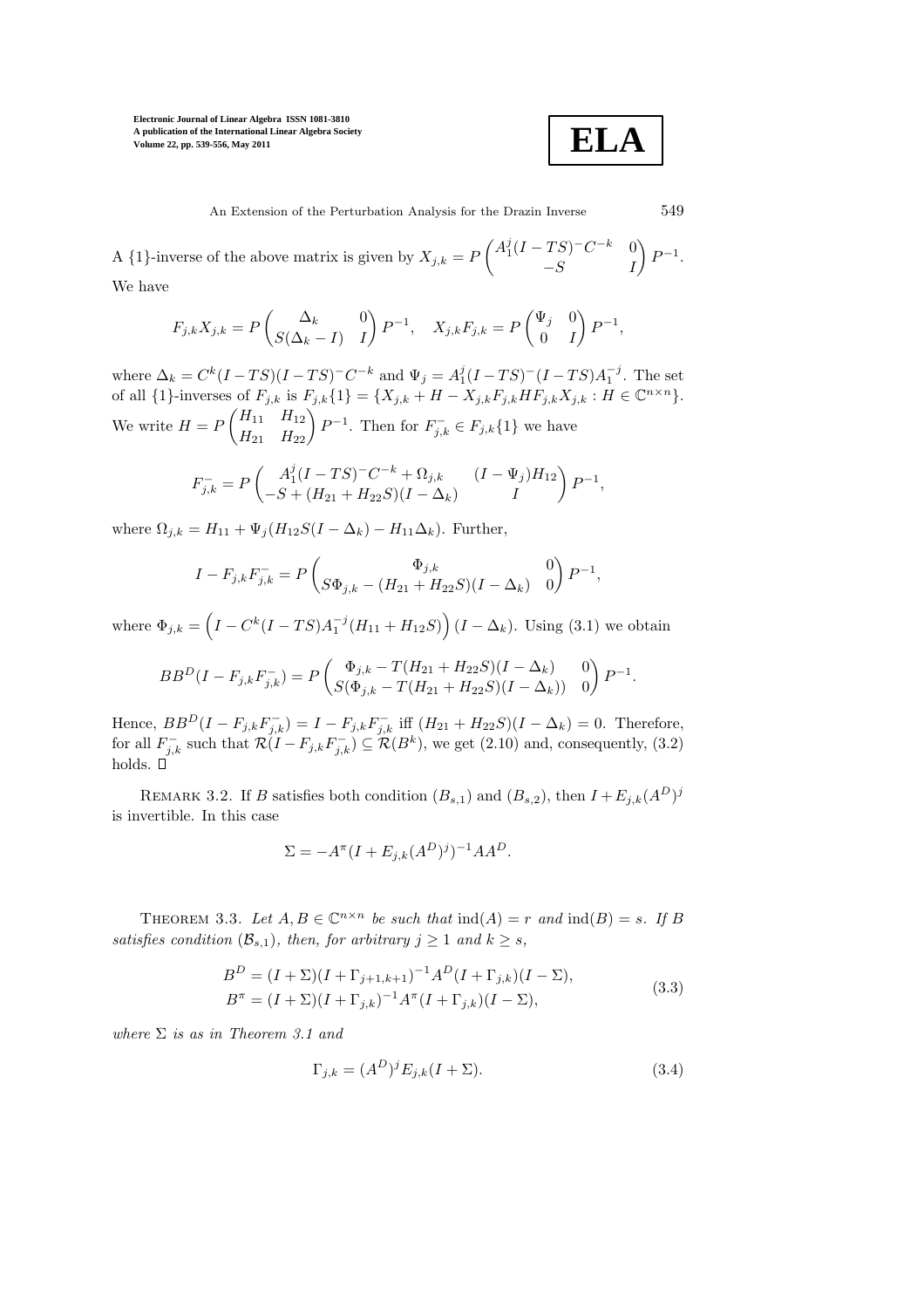

An Extension of the Perturbation Analysis for the Drazin Inverse 549

A  $\{1\}$ -inverse of the above matrix is given by  $X_{j,k} = P$  $\begin{pmatrix} A_1^j(I - TS)^{-}C^{-k} & 0 \\ -S & I \end{pmatrix} P^{-1}.$ We have

$$
F_{j,k}X_{j,k} = P\begin{pmatrix} \Delta_k & 0\\ S(\Delta_k - I) & I \end{pmatrix} P^{-1}, \quad X_{j,k}F_{j,k} = P\begin{pmatrix} \Psi_j & 0\\ 0 & I \end{pmatrix} P^{-1},
$$

where  $\Delta_k = C^k (I - TS)(I - TS)^{-}C^{-k}$  and  $\Psi_j = A_1^j (I - TS)^{-} (I - TS)A_1^{-j}$ . The set of all  $\{1\}$ -inverses of  $F_{j,k}$  is  $F_{j,k}\{1\} = \{X_{j,k} + H - X_{j,k}F_{j,k}HF_{j,k}X_{j,k} : H \in \mathbb{C}^{n \times n}\}.$ We write  $H = F$  $\begin{pmatrix} H_{11} & H_{12} \\ H_{21} & H_{22} \end{pmatrix} P^{-1}$ . Then for  $F_{j,k}^- \in F_{j,k} \{1\}$  we have

$$
F_{j,k}^- = P\begin{pmatrix} A_1^j(I - TS)^{-}C^{-k} + \Omega_{j,k} & (I - \Psi_j)H_{12} \\ -S + (H_{21} + H_{22}S)(I - \Delta_k) & I \end{pmatrix} P^{-1},
$$

where  $\Omega_{j,k} = H_{11} + \Psi_j (H_{12}S(I - \Delta_k) - H_{11}\Delta_k)$ . Further,

$$
I - F_{j,k}F_{j,k}^- = P \begin{pmatrix} \Phi_{j,k} & 0 \\ S\Phi_{j,k} - (H_{21} + H_{22}S)(I - \Delta_k) & 0 \end{pmatrix} P^{-1},
$$

where  $\Phi_{j,k} = (I - C^k(I - TS)A_1^{-j}(H_{11} + H_{12}S))(I - \Delta_k)$ . Using (3.1) we obtain

$$
BB^{D}(I - F_{j,k}F_{j,k}^{-}) = P\begin{pmatrix} \Phi_{j,k} - T(H_{21} + H_{22}S)(I - \Delta_{k}) & 0\\ S(\Phi_{j,k} - T(H_{21} + H_{22}S)(I - \Delta_{k})) & 0 \end{pmatrix} P^{-1}.
$$

Hence,  $BB^D(I - F_{j,k}F_{j,k}^-) = I - F_{j,k}F_{j,k}^-$  iff  $(H_{21} + H_{22}S)(I - \Delta_k) = 0$ . Therefore, for all  $F_{j,k}^-$  such that  $\mathcal{R}(I-F_{j,k}F_{j,k}^-) \subseteq \mathcal{R}(B^k)$ , we get (2.10) and, consequently, (3.2) holds.  $\Pi$ 

REMARK 3.2. If B satisfies both condition  $(B_{s,1})$  and  $(B_{s,2})$ , then  $I + E_{j,k}(A^D)^j$ is invertible. In this case

$$
\Sigma = -A^{\pi} (I + E_{j,k} (A^D)^j)^{-1} A A^D.
$$

THEOREM 3.3. Let  $A, B \in \mathbb{C}^{n \times n}$  be such that  $\text{ind}(A) = r$  and  $\text{ind}(B) = s$ . If B satisfies condition  $(\mathcal{B}_{s,1})$ , then, for arbitrary  $j \geq 1$  and  $k \geq s$ ,

$$
B^{D} = (I + \Sigma)(I + \Gamma_{j+1,k+1})^{-1}A^{D}(I + \Gamma_{j,k})(I - \Sigma),
$$
  
\n
$$
B^{\pi} = (I + \Sigma)(I + \Gamma_{j,k})^{-1}A^{\pi}(I + \Gamma_{j,k})(I - \Sigma),
$$
\n(3.3)

where  $\Sigma$  is as in Theorem 3.1 and

$$
\Gamma_{j,k} = (A^D)^j E_{j,k}(I + \Sigma). \tag{3.4}
$$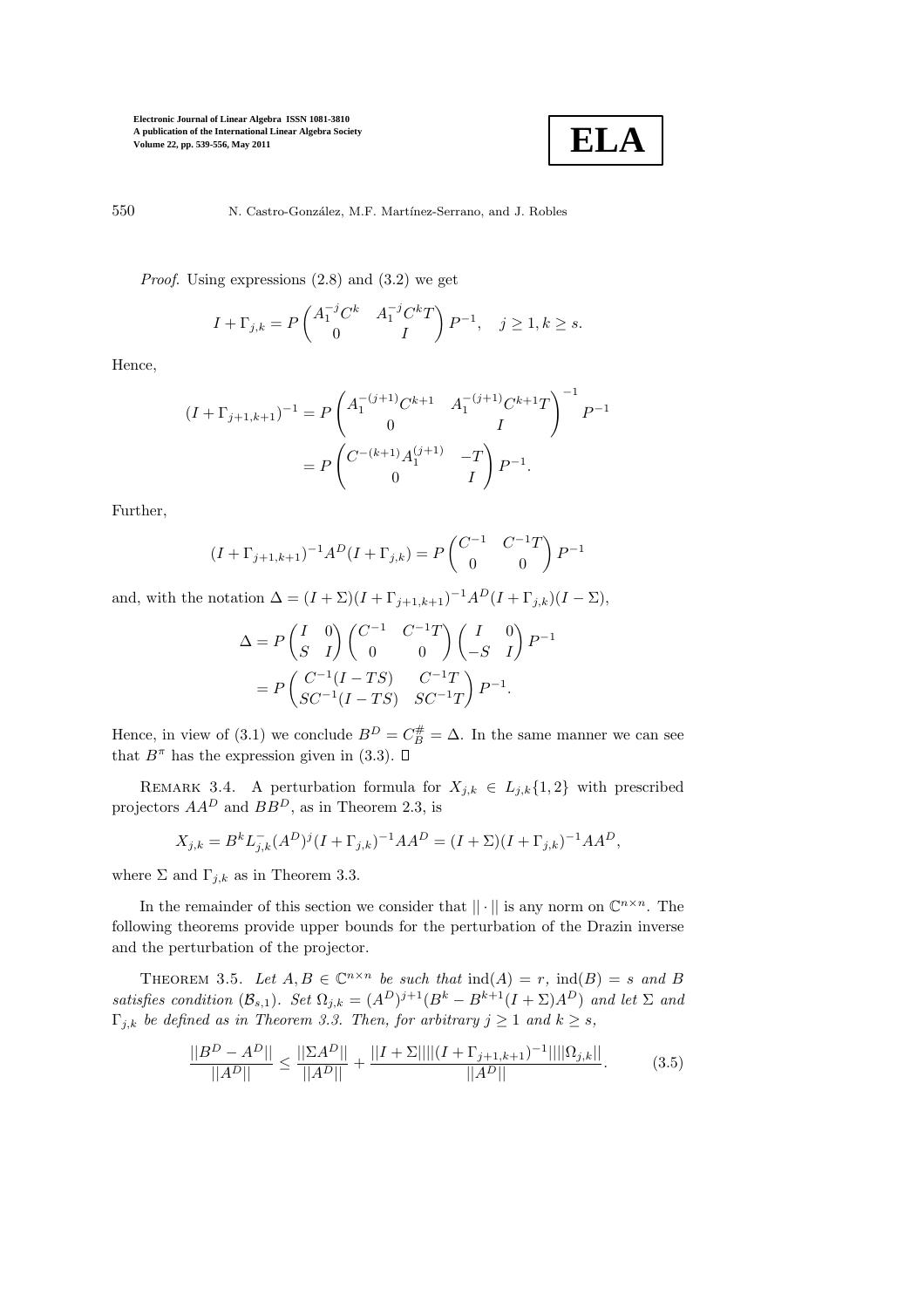

550 N. Castro-González, M.F. Martínez-Serrano, and J. Robles

*Proof.* Using expressions  $(2.8)$  and  $(3.2)$  we get

$$
I + \Gamma_{j,k} = P \begin{pmatrix} A_1^{-j} C^k & A_1^{-j} C^k T \\ 0 & I \end{pmatrix} P^{-1}, \quad j \ge 1, k \ge s.
$$

Hence,

$$
(I + \Gamma_{j+1,k+1})^{-1} = P \begin{pmatrix} A_1^{-(j+1)} C^{k+1} & A_1^{-(j+1)} C^{k+1} T \\ 0 & I \end{pmatrix}^{-1} P^{-1}
$$

$$
= P \begin{pmatrix} C^{-(k+1)} A_1^{(j+1)} & -T \\ 0 & I \end{pmatrix} P^{-1}.
$$

Further,

$$
(I + \Gamma_{j+1,k+1})^{-1} A^{D} (I + \Gamma_{j,k}) = P \begin{pmatrix} C^{-1} & C^{-1} T \\ 0 & 0 \end{pmatrix} P^{-1}
$$

and, with the notation  $\Delta = (I + \Sigma)(I + \Gamma_{j+1,k+1})^{-1}A^D(I + \Gamma_{j,k})(I - \Sigma),$ 

$$
\Delta = P \begin{pmatrix} I & 0 \\ S & I \end{pmatrix} \begin{pmatrix} C^{-1} & C^{-1}T \\ 0 & 0 \end{pmatrix} \begin{pmatrix} I & 0 \\ -S & I \end{pmatrix} P^{-1}
$$

$$
= P \begin{pmatrix} C^{-1}(I - TS) & C^{-1}T \\ SC^{-1}(I - TS) & SC^{-1}T \end{pmatrix} P^{-1}.
$$

Hence, in view of (3.1) we conclude  $B^D = C_B^{\#} = \Delta$ . In the same manner we can see that  $B^{\pi}$  has the expression given in (3.3).  $\Box$ 

REMARK 3.4. A perturbation formula for  $X_{j,k} \in L_{j,k}\{1,2\}$  with prescribed projectors  $AA^D$  and  $BB^D$ , as in Theorem 2.3, is

$$
X_{j,k} = B^k L_{j,k}^-(A^D)^j (I + \Gamma_{j,k})^{-1} A A^D = (I + \Sigma)(I + \Gamma_{j,k})^{-1} A A^D,
$$

where  $\Sigma$  and  $\Gamma_{j,k}$  as in Theorem 3.3.

In the remainder of this section we consider that  $\|\cdot\|$  is any norm on  $\mathbb{C}^{n \times n}$ . The following theorems provide upper bounds for the perturbation of the Drazin inverse and the perturbation of the projector.

THEOREM 3.5. Let  $A, B \in \mathbb{C}^{n \times n}$  be such that  $\text{ind}(A) = r$ ,  $\text{ind}(B) = s$  and B satisfies condition  $(\mathcal{B}_{s,1})$ . Set  $\Omega_{j,k} = (A^D)^{j+1}(B^k - B^{k+1}(I + \Sigma)A^D)$  and let  $\Sigma$  and  $\Gamma_{j,k}$  be defined as in Theorem 3.3. Then, for arbitrary  $j \geq 1$  and  $k \geq s$ ,

$$
\frac{||B^D - A^D||}{||A^D||} \le \frac{||\Sigma A^D||}{||A^D||} + \frac{||I + \Sigma||||(I + \Gamma_{j+1,k+1})^{-1}||||\Omega_{j,k}||}{||A^D||}.
$$
 (3.5)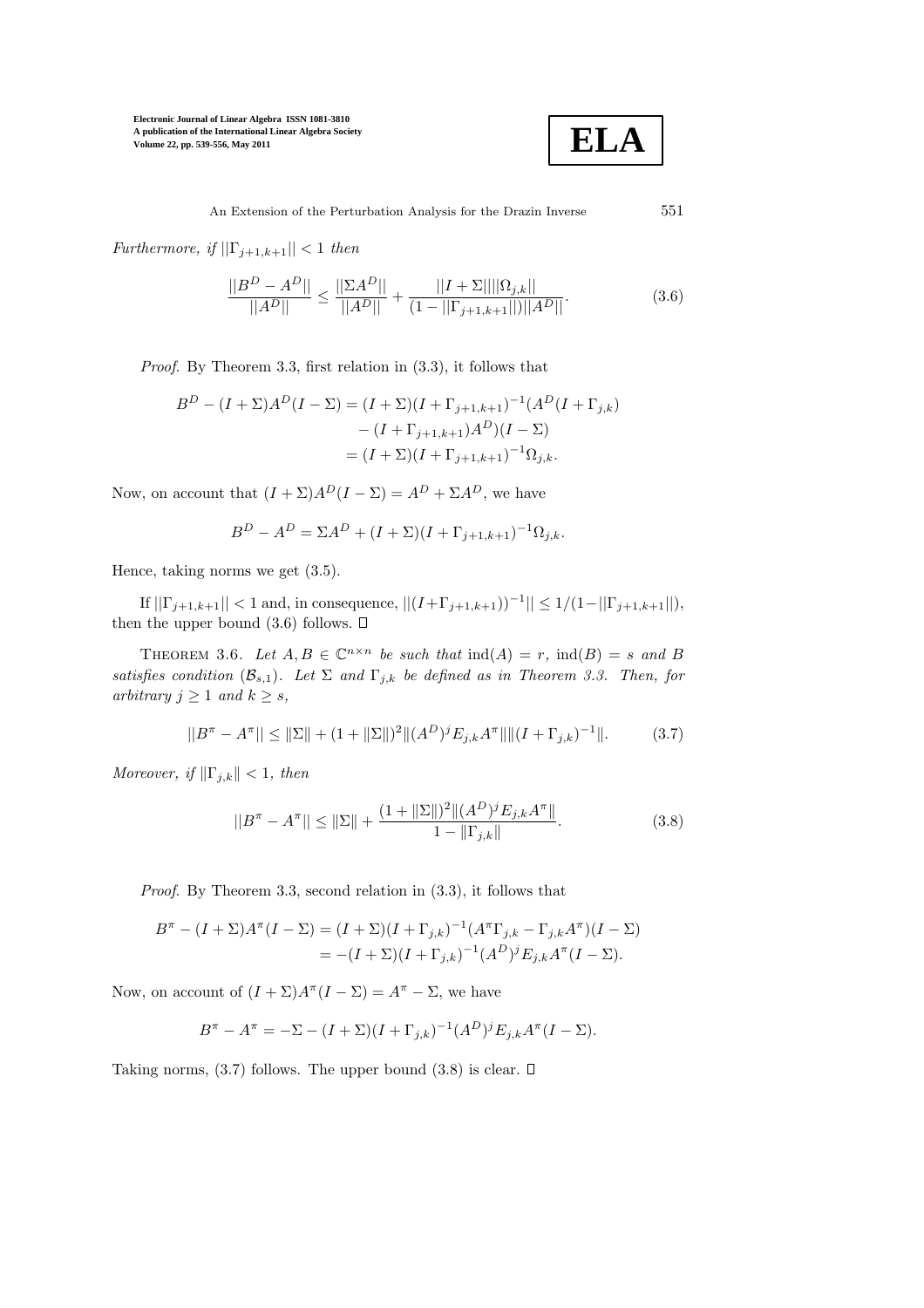

Furthermore, if  $||\Gamma_{j+1,k+1}|| < 1$  then

$$
\frac{||B^D - A^D||}{||A^D||} \le \frac{||\Sigma A^D||}{||A^D||} + \frac{||I + \Sigma||||\Omega_{j,k}||}{(1 - ||\Gamma_{j+1,k+1}||)||A^D||}.
$$
\n(3.6)

Proof. By Theorem 3.3, first relation in (3.3), it follows that

$$
B^{D} - (I + \Sigma)A^{D}(I - \Sigma) = (I + \Sigma)(I + \Gamma_{j+1,k+1})^{-1}(A^{D}(I + \Gamma_{j,k})
$$

$$
- (I + \Gamma_{j+1,k+1})A^{D})(I - \Sigma)
$$

$$
= (I + \Sigma)(I + \Gamma_{j+1,k+1})^{-1}\Omega_{j,k}.
$$

Now, on account that  $(I + \Sigma)A^{D}(I - \Sigma) = A^{D} + \Sigma A^{D}$ , we have

$$
B^{D} - A^{D} = \Sigma A^{D} + (I + \Sigma)(I + \Gamma_{j+1,k+1})^{-1} \Omega_{j,k}.
$$

Hence, taking norms we get (3.5).

If  $||\Gamma_{j+1,k+1}|| < 1$  and, in consequence,  $||(I + \Gamma_{j+1,k+1})^{-1}|| \leq 1/(1-||\Gamma_{j+1,k+1}||)$ , then the upper bound  $(3.6)$  follows.  $\square$ 

THEOREM 3.6. Let  $A, B \in \mathbb{C}^{n \times n}$  be such that  $\text{ind}(A) = r$ ,  $\text{ind}(B) = s$  and B satisfies condition  $(\mathcal{B}_{s,1})$ . Let  $\Sigma$  and  $\Gamma_{j,k}$  be defined as in Theorem 3.3. Then, for arbitrary  $j \geq 1$  and  $k \geq s$ ,

$$
||B^{\pi} - A^{\pi}|| \le ||\Sigma|| + (1 + ||\Sigma||)^2 ||(A^D)^j E_{j,k} A^{\pi}|| ||(I + \Gamma_{j,k})^{-1}||. \tag{3.7}
$$

Moreover, if  $\|\Gamma_{i,k}\| < 1$ , then

$$
||B^{\pi} - A^{\pi}|| \le ||\Sigma|| + \frac{(1 + ||\Sigma||)^2 ||(A^D)^j E_{j,k} A^{\pi}||}{1 - ||\Gamma_{j,k}||}.
$$
\n(3.8)

Proof. By Theorem 3.3, second relation in (3.3), it follows that

$$
B^{\pi} - (I + \Sigma)A^{\pi}(I - \Sigma) = (I + \Sigma)(I + \Gamma_{j,k})^{-1}(A^{\pi}\Gamma_{j,k} - \Gamma_{j,k}A^{\pi})(I - \Sigma)
$$
  
= 
$$
-(I + \Sigma)(I + \Gamma_{j,k})^{-1}(A^D)^{j}E_{j,k}A^{\pi}(I - \Sigma).
$$

Now, on account of  $(I + \Sigma)A^{\pi}(I - \Sigma) = A^{\pi} - \Sigma$ , we have

$$
B^{\pi} - A^{\pi} = -\Sigma - (I + \Sigma)(I + \Gamma_{j,k})^{-1} (A^D)^j E_{j,k} A^{\pi} (I - \Sigma).
$$

Taking norms,  $(3.7)$  follows. The upper bound  $(3.8)$  is clear.  $\square$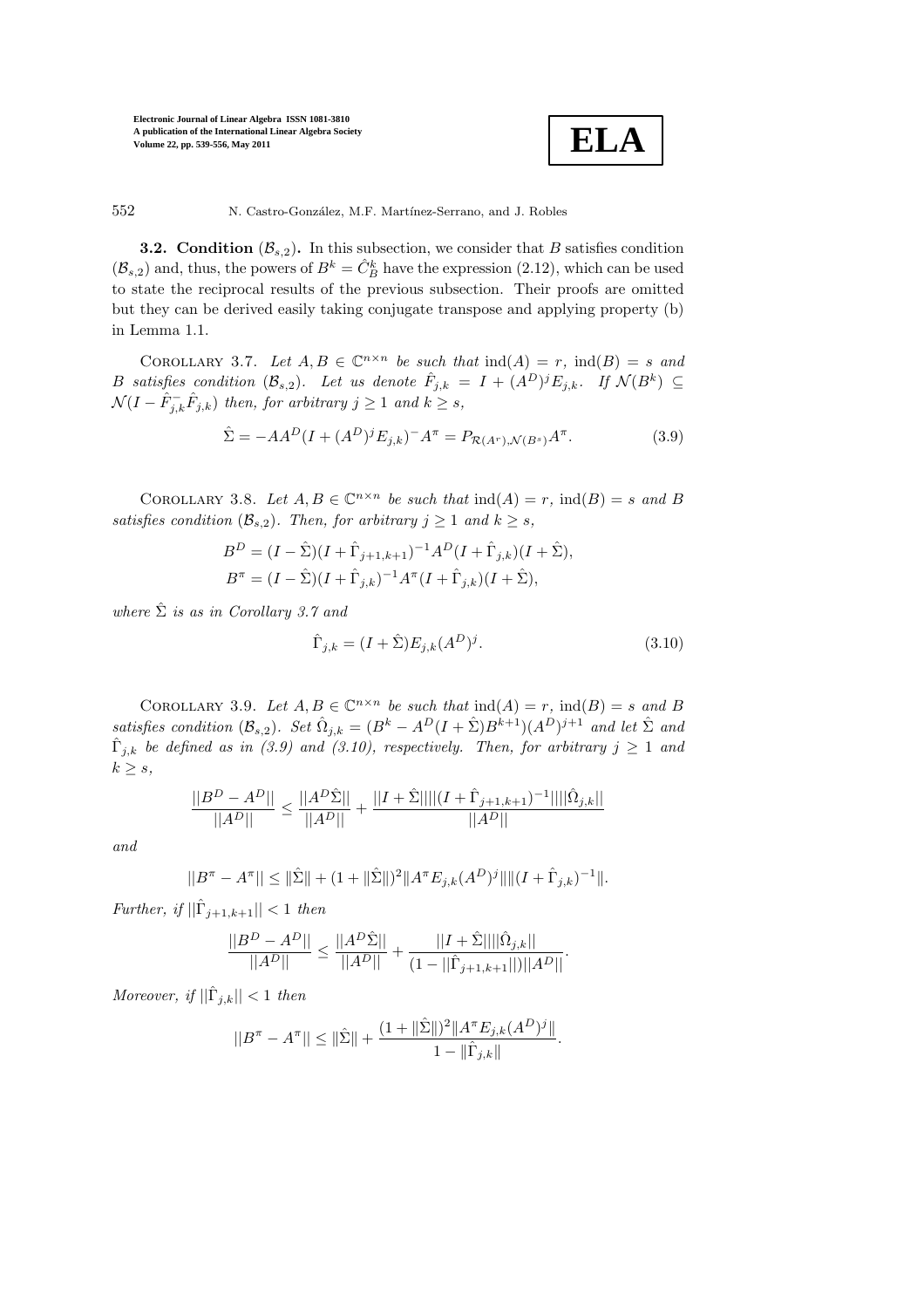

552 N. Castro-González, M.F. Martínez-Serrano, and J. Robles

**3.2.** Condition  $(\mathcal{B}_{s,2})$ . In this subsection, we consider that B satisfies condition  $(\mathcal{B}_{s,2})$  and, thus, the powers of  $B^k = \hat{C}_B^k$  have the expression (2.12), which can be used to state the reciprocal results of the previous subsection. Their proofs are omitted but they can be derived easily taking conjugate transpose and applying property (b) in Lemma 1.1.

COROLLARY 3.7. Let  $A, B \in \mathbb{C}^{n \times n}$  be such that  $\text{ind}(A) = r$ ,  $\text{ind}(B) = s$  and B satisfies condition  $(\mathcal{B}_{s,2})$ . Let us denote  $\hat{F}_{j,k} = I + (A^D)^j E_{j,k}$ . If  $\mathcal{N}(B^k) \subseteq$  $\mathcal{N}(I - \hat{F}_{j,k}^{-} \hat{F}_{j,k})$  then, for arbitrary  $j \geq 1$  and  $k \geq s$ ,

$$
\hat{\Sigma} = -AA^D(I + (A^D)^j E_{j,k})^{-} A^{\pi} = P_{\mathcal{R}(A^r), \mathcal{N}(B^s)} A^{\pi}.
$$
\n(3.9)

COROLLARY 3.8. Let  $A, B \in \mathbb{C}^{n \times n}$  be such that  $\text{ind}(A) = r$ ,  $\text{ind}(B) = s$  and B satisfies condition  $(\mathcal{B}_{s,2})$ . Then, for arbitrary  $j \geq 1$  and  $k \geq s$ ,

$$
B^{D} = (I - \hat{\Sigma})(I + \hat{\Gamma}_{j+1,k+1})^{-1}A^{D}(I + \hat{\Gamma}_{j,k})(I + \hat{\Sigma}),
$$
  

$$
B^{\pi} = (I - \hat{\Sigma})(I + \hat{\Gamma}_{j,k})^{-1}A^{\pi}(I + \hat{\Gamma}_{j,k})(I + \hat{\Sigma}),
$$

where  $\hat{\Sigma}$  is as in Corollary 3.7 and

$$
\hat{\Gamma}_{j,k} = (I + \hat{\Sigma}) E_{j,k} (A^D)^j.
$$
\n(3.10)

COROLLARY 3.9. Let  $A, B \in \mathbb{C}^{n \times n}$  be such that  $\text{ind}(A) = r$ ,  $\text{ind}(B) = s$  and B satisfies condition  $(\mathcal{B}_{s,2})$ . Set  $\hat{\Omega}_{j,k} = (B^k - A^D(I + \hat{\Sigma})B^{k+1})(A^D)^{j+1}$  and let  $\hat{\Sigma}$  and  $\hat{\Gamma}_{j,k}$  be defined as in (3.9) and (3.10), respectively. Then, for arbitrary  $j \geq 1$  and  $k \geq s$ ,

$$
\frac{||B^D-A^D||}{||A^D||}\leq\frac{||A^D\hat{\Sigma}||}{||A^D||}+\frac{||I+\hat{\Sigma}||||(I+\hat{\Gamma}_{j+1,k+1})^{-1}||||\hat{\Omega}_{j,k}||}{||A^D||}
$$

and

$$
||B^{\pi} - A^{\pi}|| \le ||\hat{\Sigma}|| + (1 + ||\hat{\Sigma}||)^2 ||A^{\pi} E_{j,k}(A^D)^j|| ||(I + \hat{\Gamma}_{j,k})^{-1}||.
$$

Further, if  $||\hat{\Gamma}_{j+1,k+1}|| < 1$  then

$$
\frac{||B^D - A^D||}{||A^D||} \le \frac{||A^D \hat{\Sigma}||}{||A^D||} + \frac{||I + \hat{\Sigma}|| ||\hat{\Omega}_{j,k}||}{(1 - ||\hat{\Gamma}_{j+1,k+1}||) ||A^D||}.
$$

Moreover, if  $\|\hat{\Gamma}_{j,k}\| < 1$  then

$$
||B^{\pi}-A^{\pi}|| \le ||\hat{\Sigma}|| + \frac{(1+||\hat{\Sigma}||)^2 ||A^{\pi} E_{j,k}(A^D)^j||}{1-||\hat{\Gamma}_{j,k}||}.
$$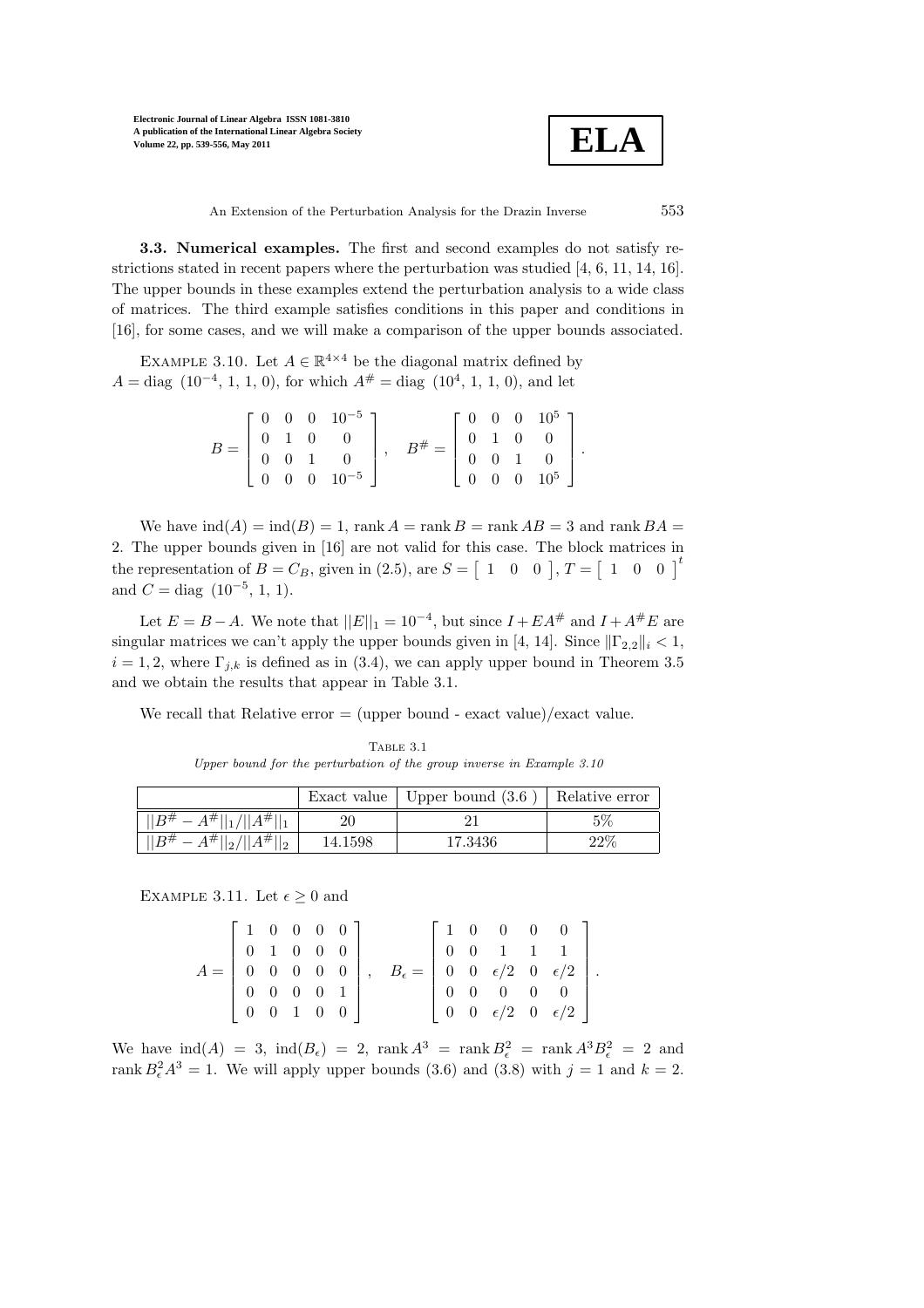

An Extension of the Perturbation Analysis for the Drazin Inverse  $553$ 

3.3. Numerical examples. The first and second examples do not satisfy restrictions stated in recent papers where the perturbation was studied [4, 6, 11, 14, 16]. The upper bounds in these examples extend the perturbation analysis to a wide class of matrices. The third example satisfies conditions in this paper and conditions in [16], for some cases, and we will make a comparison of the upper bounds associated.

EXAMPLE 3.10. Let  $A \in \mathbb{R}^{4 \times 4}$  be the diagonal matrix defined by  $A = \text{diag}(10^{-4}, 1, 1, 0)$ , for which  $A^{\#} = \text{diag}(10^{4}, 1, 1, 0)$ , and let

| $B = \left[ \begin{array}{cccc} 0 & 0 & 0 & 10^{-5} \ 0 & 1 & 0 & 0 \ 0 & 0 & 1 & 0 \end{array} \right],$ |  |                                                     | $B^{\#} = \left[ \begin{array}{cccc} 0 & 0 & 0 & 10^5 \\ 0 & 1 & 0 & 0 \\ 0 & 0 & 1 & 0 \\ 0 & 0 & 0 & 10^5 \end{array} \right].$ |  |  |  |
|-----------------------------------------------------------------------------------------------------------|--|-----------------------------------------------------|-----------------------------------------------------------------------------------------------------------------------------------|--|--|--|
|                                                                                                           |  |                                                     |                                                                                                                                   |  |  |  |
|                                                                                                           |  | $\begin{bmatrix} 0 & 0 & 0 & 10^{-5} \end{bmatrix}$ |                                                                                                                                   |  |  |  |

We have  $\text{ind}(A) = \text{ind}(B) = 1$ ,  $\text{rank } A = \text{rank } B = \text{rank } AB = 3$  and  $\text{rank } BA =$ 2. The upper bounds given in [16] are not valid for this case. The block matrices in the representation of  $B = C_B$ , given in (2.5), are  $S = \begin{bmatrix} 1 & 0 & 0 \end{bmatrix}$ ,  $T = \begin{bmatrix} 1 & 0 & 0 \end{bmatrix}^t$ and  $C = diag (10^{-5}, 1, 1)$ .

Let  $E = B - A$ . We note that  $||E||_1 = 10^{-4}$ , but since  $I + EA^{\#}$  and  $I + A^{\#}E$  are singular matrices we can't apply the upper bounds given in [4, 14]. Since  $\|\Gamma_{2,2}\|_i < 1$ ,  $i = 1, 2$ , where  $\Gamma_{j,k}$  is defined as in (3.4), we can apply upper bound in Theorem 3.5 and we obtain the results that appear in Table 3.1.

We recall that Relative error  $=$  (upper bound - exact value)/exact value.

| TABLE 3.1                                                               |  |  |  |  |  |  |  |
|-------------------------------------------------------------------------|--|--|--|--|--|--|--|
| Upper bound for the perturbation of the group inverse in Example $3.10$ |  |  |  |  |  |  |  |

|                                         |         | Exact value   Upper bound $(3.6)$ | Relative error |
|-----------------------------------------|---------|-----------------------------------|----------------|
| $B^\#$<br>$- A^{\#}  _1/  A^{\#}  _1$   | 20      |                                   | $5\%$          |
| $= A^{\#}  _2/  A^{\#}  _2$<br>$B^{\#}$ | 14.1598 | 17.3436                           | 22%            |

EXAMPLE 3.11. Let  $\epsilon \geq 0$  and

|                                                         | 10000                                                |  |  |                                                                                      |  |                                                            | 100000                                                              |  |
|---------------------------------------------------------|------------------------------------------------------|--|--|--------------------------------------------------------------------------------------|--|------------------------------------------------------------|---------------------------------------------------------------------|--|
|                                                         | $\begin{bmatrix} 0 & 1 & 0 & 0 & 0 \end{bmatrix}$    |  |  |                                                                                      |  |                                                            |                                                                     |  |
| $A = \begin{bmatrix} 0 & 0 & 0 & 0 & 0 \end{bmatrix}$ , |                                                      |  |  | $B_{\epsilon} = \begin{bmatrix} 0 & 0 & \epsilon/2 & 0 & \epsilon/2 \end{bmatrix}$ . |  |                                                            |                                                                     |  |
|                                                         | $\begin{array}{ ccc } 0 & 0 & 0 & 0 & 1 \end{array}$ |  |  |                                                                                      |  | $\begin{array}{ccccccccc}\n0 & 0 & 0 & 0 & 0\n\end{array}$ |                                                                     |  |
|                                                         | $\begin{bmatrix} 0 & 0 & 1 & 0 & 0 \end{bmatrix}$    |  |  |                                                                                      |  |                                                            | $\begin{bmatrix} 0 & 0 & \epsilon/2 & 0 & \epsilon/2 \end{bmatrix}$ |  |

We have  $\text{ind}(A) = 3$ ,  $\text{ind}(B_{\epsilon}) = 2$ ,  $\text{rank } A^3 = \text{rank } B_{\epsilon}^2 = \text{rank } A^3 B_{\epsilon}^2 = 2$  and rank  $B_{\epsilon}^2 A^3 = 1$ . We will apply upper bounds (3.6) and (3.8) with  $j = 1$  and  $k = 2$ .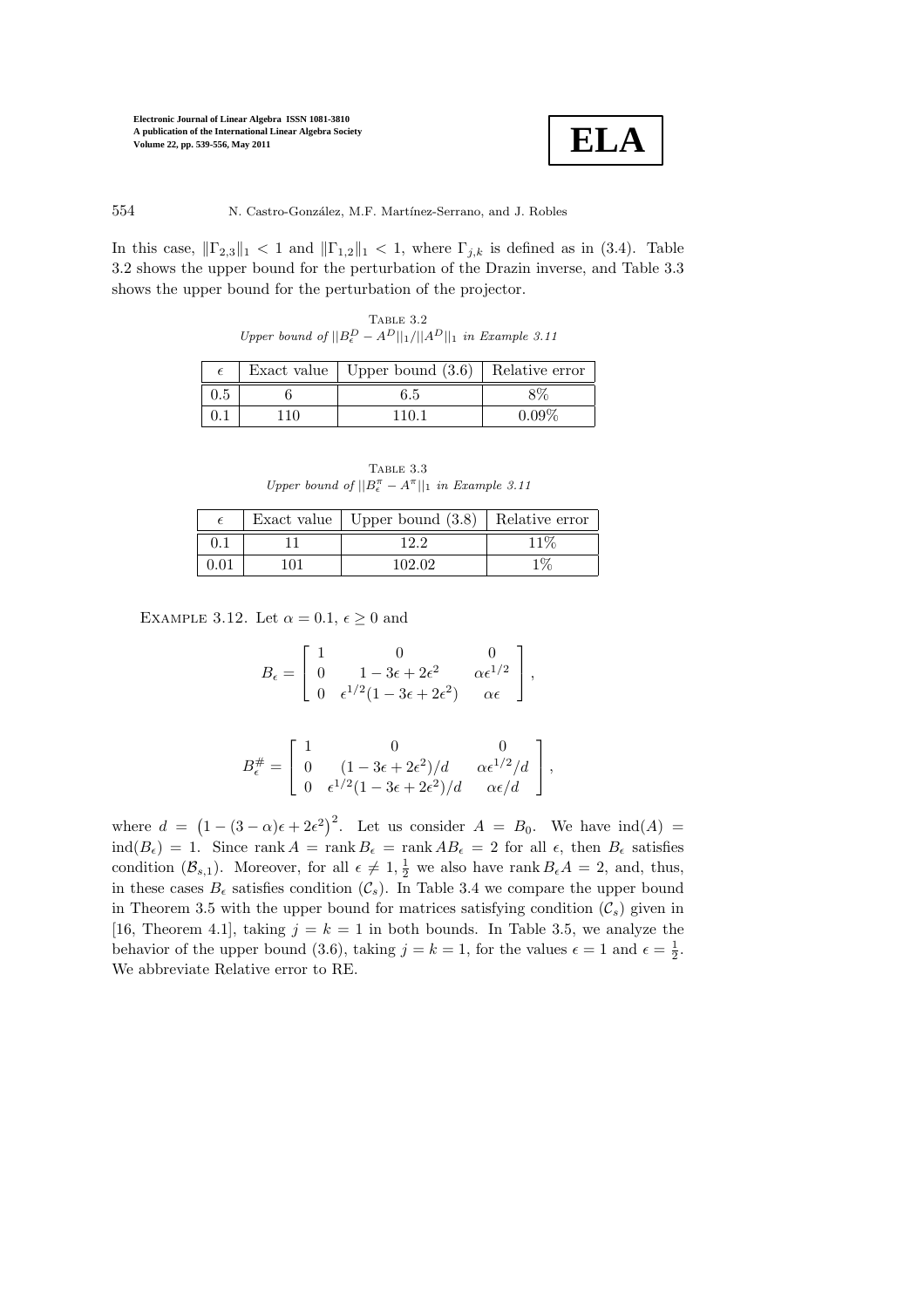

554 N. Castro-González, M.F. Martínez-Serrano, and J. Robles

In this case,  $\|\Gamma_{2,3}\|_1 < 1$  and  $\|\Gamma_{1,2}\|_1 < 1$ , where  $\Gamma_{j,k}$  is defined as in (3.4). Table 3.2 shows the upper bound for the perturbation of the Drazin inverse, and Table 3.3 shows the upper bound for the perturbation of the projector.

Table 3.2 Upper bound of  $||B_{\epsilon}^D - A^D||_1 / ||A^D||_1$  in Example 3.11

|  | Exact value   Upper bound $(3.6)$   Relative error |       |
|--|----------------------------------------------------|-------|
|  | 6.5                                                |       |
|  | 11 N                                               | 0.09% |

TABLE 3.3 Upper bound of  $||B_{\epsilon}^{\pi} - A^{\pi}||_1$  in Example 3.11

|    | Exact value   Upper bound $(3.8)$   Relative error |     |
|----|----------------------------------------------------|-----|
|    |                                                    |     |
| ำา | 102.02                                             | 107 |

EXAMPLE 3.12. Let  $\alpha = 0.1$ ,  $\epsilon \ge 0$  and

$$
B_{\epsilon} = \begin{bmatrix} 1 & 0 & 0 \\ 0 & 1 - 3\epsilon + 2\epsilon^2 & \alpha\epsilon^{1/2} \\ 0 & \epsilon^{1/2}(1 - 3\epsilon + 2\epsilon^2) & \alpha\epsilon \end{bmatrix},
$$

$$
B_{\epsilon}^{\#} = \left[ \begin{array}{ccc} 1 & 0 & 0 \\ 0 & (1 - 3\epsilon + 2\epsilon^2)/d & \alpha\epsilon^{1/2}/d \\ 0 & \epsilon^{1/2}(1 - 3\epsilon + 2\epsilon^2)/d & \alpha\epsilon/d \end{array} \right],
$$

where  $d = (1 - (3 - \alpha)\epsilon + 2\epsilon^2)^2$ . Let us consider  $A = B_0$ . We have  $\text{ind}(A) =$  $ind(B_{\epsilon}) = 1$ . Since rank  $A = rank B_{\epsilon} = rank AB_{\epsilon} = 2$  for all  $\epsilon$ , then  $B_{\epsilon}$  satisfies condition  $(\mathcal{B}_{s,1})$ . Moreover, for all  $\epsilon \neq 1, \frac{1}{2}$  we also have rank  $B_{\epsilon}A = 2$ , and, thus, in these cases  $B_{\epsilon}$  satisfies condition  $(C_{s})$ . In Table 3.4 we compare the upper bound in Theorem 3.5 with the upper bound for matrices satisfying condition  $(\mathcal{C}_s)$  given in [16, Theorem 4.1], taking  $j = k = 1$  in both bounds. In Table 3.5, we analyze the behavior of the upper bound (3.6), taking  $j = k = 1$ , for the values  $\epsilon = 1$  and  $\epsilon = \frac{1}{2}$ . We abbreviate Relative error to RE.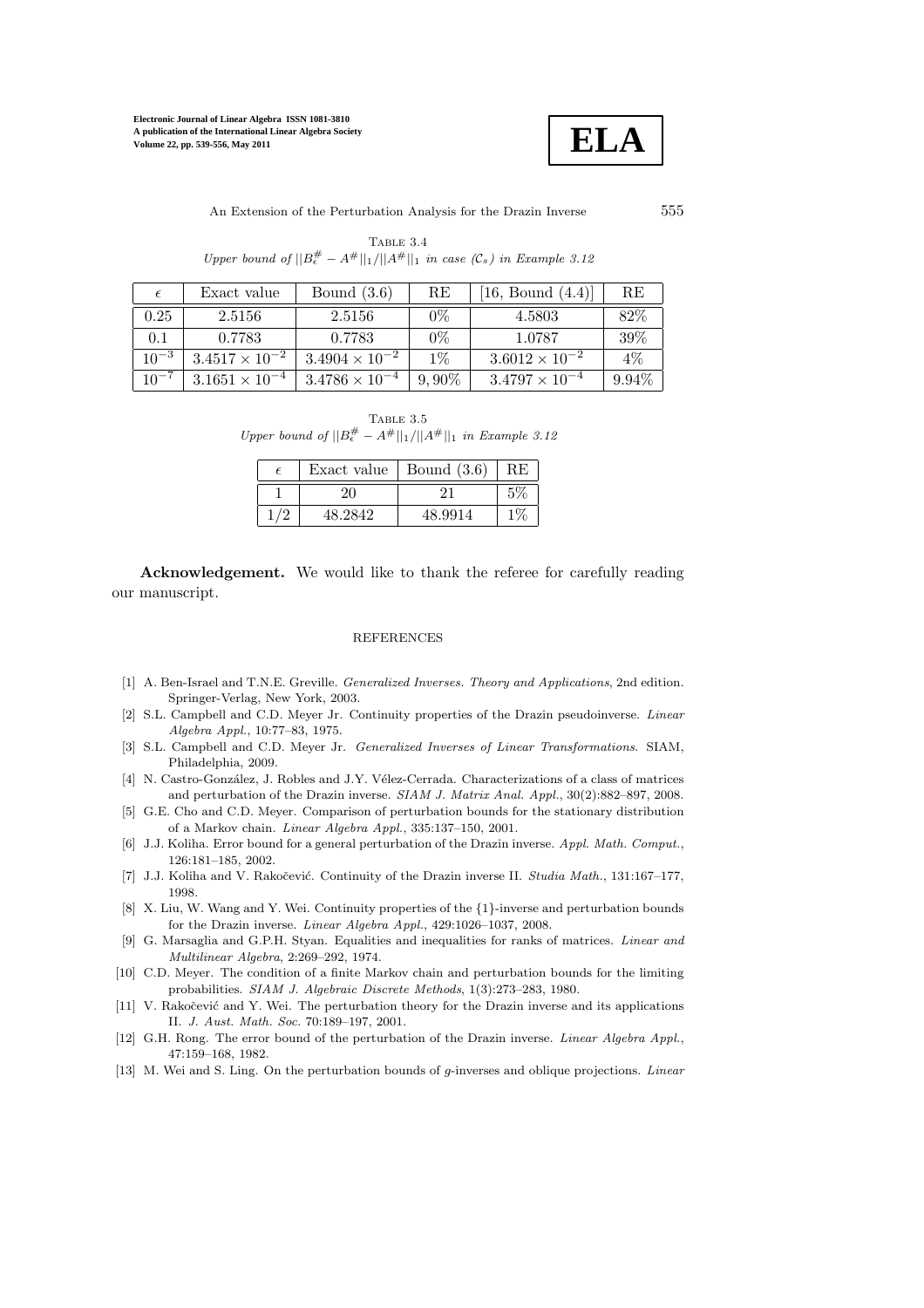

An Extension of the Perturbation Analysis for the Drazin Inverse  $555$ 

TABLE  $3.4\,$ Upper bound of  $||B^{\#}_{\epsilon} - A^{\#}||_1/||A^{\#}||_1$  in case  $(\mathcal{C}_s)$  in Example 3.12

|           | Exact value             | Bound $(3.6)$           | RE       | [16, Bound $(4.4)$ ]    | RE.      |
|-----------|-------------------------|-------------------------|----------|-------------------------|----------|
| 0.25      | 2.5156                  | 2.5156                  | $0\%$    | 4.5803                  | 82\%     |
| 0.1       | 0.7783                  | 0.7783                  | $0\%$    | 1.0787                  | 39%      |
| $10^{-3}$ | $3.4517 \times 10^{-2}$ | $3.4904 \times 10^{-2}$ | $1\%$    | $3.6012 \times 10^{-2}$ | $4\%$    |
|           | $3.1651 \times 10^{-4}$ | $3.4786 \times 10^{-4}$ | $9,90\%$ | $3.4797 \times 10^{-4}$ | $9.94\%$ |

Table 3.5 Upper bound of  $||B_{\epsilon}^{\#} - A^{\#}||_1/||A^{\#}||_1$  in Example 3.12

|  | Exact value   Bound $(3.6)$ |         | RЕ |
|--|-----------------------------|---------|----|
|  |                             |         |    |
|  |                             | 48.9914 |    |

Acknowledgement. We would like to thank the referee for carefully reading our manuscript.

## **REFERENCES**

- [1] A. Ben-Israel and T.N.E. Greville. Generalized Inverses. Theory and Applications, 2nd edition. Springer-Verlag, New York, 2003.
- [2] S.L. Campbell and C.D. Meyer Jr. Continuity properties of the Drazin pseudoinverse. Linear Algebra Appl., 10:77–83, 1975.
- [3] S.L. Campbell and C.D. Meyer Jr. Generalized Inverses of Linear Transformations. SIAM, Philadelphia, 2009.
- [4] N. Castro-González, J. Robles and J.Y. Vélez-Cerrada. Characterizations of a class of matrices and perturbation of the Drazin inverse. SIAM J. Matrix Anal. Appl., 30(2):882–897, 2008.
- [5] G.E. Cho and C.D. Meyer. Comparison of perturbation bounds for the stationary distribution of a Markov chain. Linear Algebra Appl., 335:137–150, 2001.
- [6] J.J. Koliha. Error bound for a general perturbation of the Drazin inverse. Appl. Math. Comput., 126:181–185, 2002.
- [7] J.J. Koliha and V. Rakočević. Continuity of the Drazin inverse II. Studia Math., 131:167–177, 1998.
- [8] X. Liu, W. Wang and Y. Wei. Continuity properties of the {1}-inverse and perturbation bounds for the Drazin inverse. Linear Algebra Appl., 429:1026–1037, 2008.
- [9] G. Marsaglia and G.P.H. Styan. Equalities and inequalities for ranks of matrices. Linear and Multilinear Algebra, 2:269–292, 1974.
- [10] C.D. Meyer. The condition of a finite Markov chain and perturbation bounds for the limiting probabilities. SIAM J. Algebraic Discrete Methods, 1(3):273–283, 1980.
- [11] V. Rakočević and Y. Wei. The perturbation theory for the Drazin inverse and its applications II. J. Aust. Math. Soc. 70:189–197, 2001.
- [12] G.H. Rong. The error bound of the perturbation of the Drazin inverse. Linear Algebra Appl., 47:159–168, 1982.
- [13] M. Wei and S. Ling. On the perturbation bounds of g-inverses and oblique projections. Linear